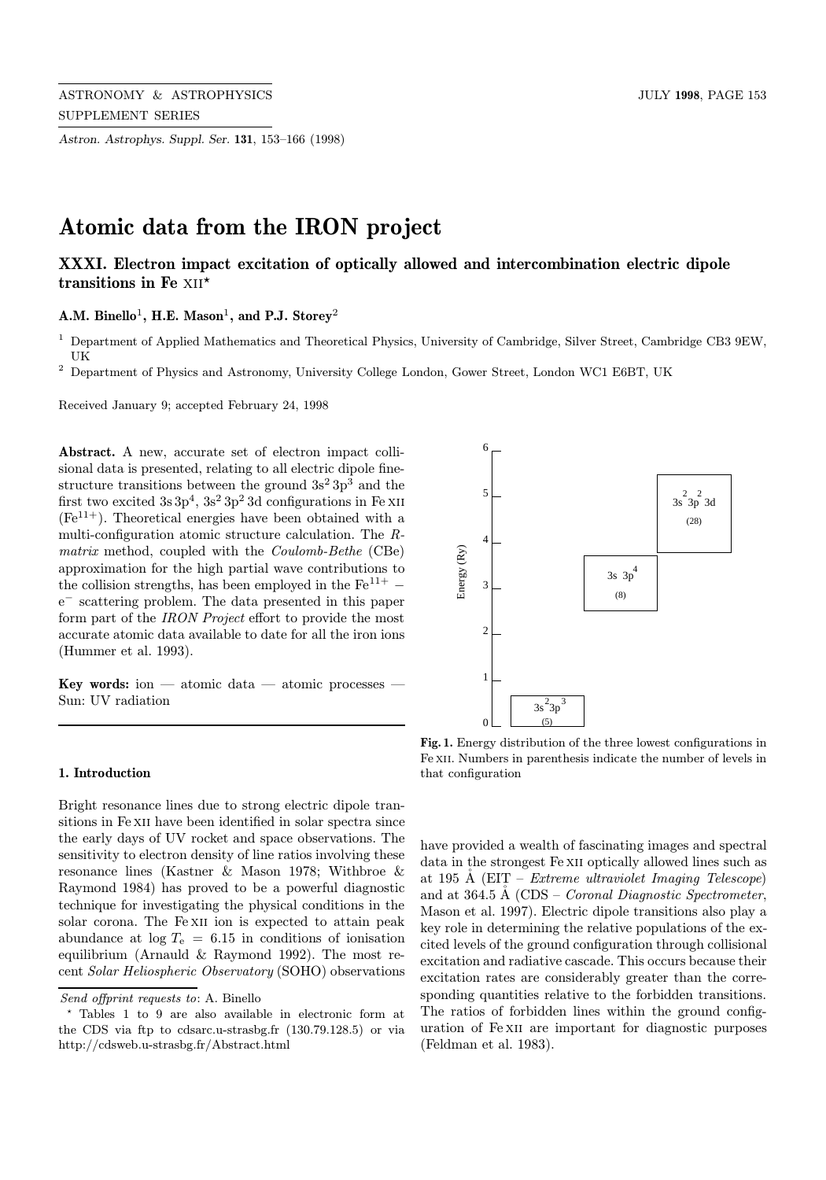Astron. Astrophys. Suppl. Ser. 131, 153–166 (1998)

# Atomic data from the IRON project

# XXXI. Electron impact excitation of optically allowed and intercombination electric dipole transitions in Fe  $XII^*$

# A.M. Binello<sup>1</sup>, H.E. Mason<sup>1</sup>, and P.J. Storey<sup>2</sup>

- <sup>1</sup> Department of Applied Mathematics and Theoretical Physics, University of Cambridge, Silver Street, Cambridge CB3 9EW, UK
- <sup>2</sup> Department of Physics and Astronomy, University College London, Gower Street, London WC1 E6BT, UK

Received January 9; accepted February 24, 1998

Abstract. A new, accurate set of electron impact collisional data is presented, relating to all electric dipole finestructure transitions between the ground  $3s^2 3p^3$  and the first two excited  $3s3p^4$ ,  $3s^23p^23d$  configurations in Fe XII  $(Fe^{11+})$ . Theoretical energies have been obtained with a multi-configuration atomic structure calculation. The Rmatrix method, coupled with the Coulomb-Bethe (CBe) approximation for the high partial wave contributions to the collision strengths, has been employed in the  $Fe^{11+}$  – e<sup>−</sup> scattering problem. The data presented in this paper form part of the IRON Project effort to provide the most accurate atomic data available to date for all the iron ions (Hummer et al. 1993).

Key words: ion — atomic data — atomic processes — Sun: UV radiation

#### 1. Introduction

Bright resonance lines due to strong electric dipole transitions in Fe XII have been identified in solar spectra since the early days of UV rocket and space observations. The sensitivity to electron density of line ratios involving these resonance lines (Kastner & Mason 1978; Withbroe & Raymond 1984) has proved to be a powerful diagnostic technique for investigating the physical conditions in the solar corona. The Fe XII ion is expected to attain peak abundance at  $log T_e = 6.15$  in conditions of ionisation equilibrium (Arnauld & Raymond 1992). The most recent Solar Heliospheric Observatory (SOHO) observations

6 5  $3s^2$  $3p^2$  $3d$ (28) 4 Energy (Ry) Energy (Ry) 3s 3p 4 3 (8)  $\overline{\mathcal{L}}$ 1  $3s^2$ 3p  $\Omega$ (5)

Fig. 1. Energy distribution of the three lowest configurations in Fe xii. Numbers in parenthesis indicate the number of levels in that configuration

have provided a wealth of fascinating images and spectral data in the strongest Fe XII optically allowed lines such as at 195 Å (EIT – Extreme ultraviolet Imaging Telescope) and at  $364.5$  Å (CDS – *Coronal Diagnostic Spectrometer*, Mason et al. 1997). Electric dipole transitions also play a key role in determining the relative populations of the excited levels of the ground configuration through collisional excitation and radiative cascade. This occurs because their excitation rates are considerably greater than the corresponding quantities relative to the forbidden transitions. The ratios of forbidden lines within the ground configuration of Fe xii are important for diagnostic purposes (Feldman et al. 1983).

Send offprint requests to: A. Binello

<sup>?</sup> Tables 1 to 9 are also available in electronic form at the CDS via ftp to cdsarc.u-strasbg.fr (130.79.128.5) or via http://cdsweb.u-strasbg.fr/Abstract.html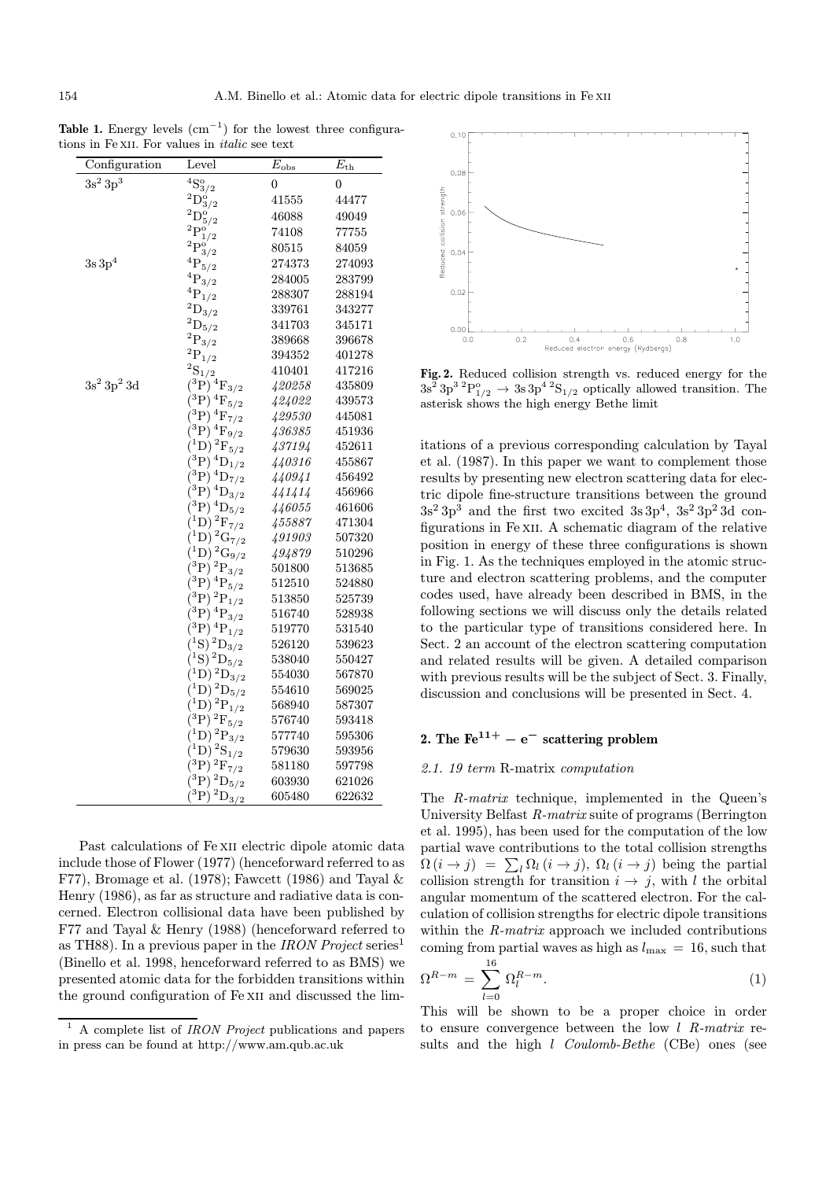| Configuration             | Level                                                         | $E_{\rm obs}$ | $E_{\rm th}$ |
|---------------------------|---------------------------------------------------------------|---------------|--------------|
| $3s^2 3p^3$               | $^4{\rm S}_{3/2}^{\rm o}$                                     | 0             | 0            |
|                           | $^2\mathrm{D}_{3/2}^{\mathrm{o}}$                             | 41555         | 44477        |
|                           | $^2\mathrm{D}_{5/2}^{\mathrm{o}}$                             | 46088         | 49049        |
|                           | $^2\mathrm{P}^\mathrm{o}_{1/2}$                               | 74108         | 77755        |
|                           | $^2\mathrm{P}^\mathrm{o}_{3/2}$                               | 80515         | 84059        |
| $3s\,3p^4$                | $^4\mathrm{P}_{5/2}$                                          | 274373        | 274093       |
|                           | $^4\mathrm{P}_{3/2}$                                          | 284005        | 283799       |
|                           | $^4\mathrm{P}_{1/2}$                                          | 288307        | 288194       |
|                           | $^2\mathrm{D}_{3/2}$                                          | 339761        | 343277       |
|                           | $^2\mathrm{D}_{5/2}$                                          | 341703        | 345171       |
|                           | $^2\mathrm{P}_{3/2}$                                          | 389668        | 396678       |
|                           | $^2\mathrm{P}_{1/2}$                                          | 394352        | 401278       |
|                           | ${}^{2}S_{1/2}$                                               | 410401        | 417216       |
| $3s^2$ 3p <sup>2</sup> 3d | $({}^3P)^4\mathrm{F}_{3/2}$                                   | 420258        | 435809       |
|                           | $\rm \delta^3P)^{\,4}F_{5/2}$                                 | 424022        | 439573       |
|                           | $\rm (\overset{3}{P})\, {}^4F_{7/2}$                          | 429530        | 445081       |
|                           | $\overline{^{3}\mathrm{P}}\mathrm{)}\,{}^{4}\mathrm{F}_{9/2}$ | 436385        | 451936       |
|                           | $^{1}D)^{2}F_{5/2}$                                           | 437194        | 452611       |
|                           | $^{3}P)^{4}D_{1/2}$                                           | 440316        | 455867       |
|                           | $(3P)^4D_{7/2}$                                               | 440941        | 456492       |
|                           | $(3P)^4D_{3/2}$                                               | 441414        | 456966       |
|                           | $^{3}P)^{4}D_{5/2}$                                           | 446055        | 461606       |
|                           | $^{1}D)^{2}F_{7/2}$                                           | 455887        | 471304       |
|                           | ${}^{1}D)$ ${}^{2}G_{7/2}$                                    | 491903        | 507320       |
|                           | $^{1}D)^{2}G_{9/2}$                                           | 494879        | 510296       |
|                           | $^{3}P)^{2}P_{3/2}$                                           | 501800        | 513685       |
|                           | $^3\mathrm{P})$ $^4\mathrm{P}_{5/2}$                          | 512510        | 524880       |
|                           | $\big(\mathrm{^3P}\big)^2\mathrm{P}_{1/2}$                    | 513850        | 525739       |
|                           | $(3P)^4P_{3/2}$                                               | 516740        | 528938       |
|                           | $(3P)^4P_{1/2}$                                               | 519770        | 531540       |
|                           | $(1S)^{2}D_{3/2}$                                             | 526120        | 539623       |
|                           | $(1S)$ ${}^2D_{5/2}$                                          | 538040        | 550427       |
|                           | $^{1}D)^{2}D_{3/2}$                                           | 554030        | 567870       |
|                           | $^{1}D)^{2}D_{5/2}$                                           | 554610        | 569025       |
|                           | $(1D)^2P_{1/2}$                                               | 568940        | 587307       |
|                           | $^3P)^2F_{5/2}$                                               | 576740        | 593418       |
|                           | $^1\mathrm{D})\,^2\mathrm{P}_{3/2}$                           | 577740        | 595306       |
|                           | $1D)^2S_{1/2}$                                                | 579630        | 593956       |
|                           | $\rm \delta^3P)^{\,2}F_{7/2}$                                 | 581180        | 597798       |
|                           | $^3P)^2D_{5/2}$                                               | 603930        | 621026       |
|                           | $^{3}P)^{2}D_{3/2}$                                           | 605480        | 622632       |

Table 1. Energy levels  $\text{cm}^{-1}$  for the lowest three configurations in Fe XII. For values in *italic* see text

Past calculations of Fe XII electric dipole atomic data include those of Flower (1977) (henceforward referred to as F77), Bromage et al. (1978); Fawcett (1986) and Tayal  $\&$ Henry (1986), as far as structure and radiative data is concerned. Electron collisional data have been published by F77 and Tayal & Henry (1988) (henceforward referred to as TH88). In a previous paper in the IRON Project series<sup>1</sup> (Binello et al. 1998, henceforward referred to as BMS) we presented atomic data for the forbidden transitions within the ground configuration of Fe xii and discussed the lim-



Fig. 2. Reduced collision strength vs. reduced energy for the  $3s^2 3p^3 2P_{1/2}^o \rightarrow 3s 3p^4 2S_{1/2}$  optically allowed transition. The asterisk shows the high energy Bethe limit

itations of a previous corresponding calculation by Tayal et al. (1987). In this paper we want to complement those results by presenting new electron scattering data for electric dipole fine-structure transitions between the ground  $3s^2 3p^3$  and the first two excited  $3s 3p^4$ ,  $3s^2 3p^2 3d$  configurations in Fe xii. A schematic diagram of the relative position in energy of these three configurations is shown in Fig. 1. As the techniques employed in the atomic structure and electron scattering problems, and the computer codes used, have already been described in BMS, in the following sections we will discuss only the details related to the particular type of transitions considered here. In Sect. 2 an account of the electron scattering computation and related results will be given. A detailed comparison with previous results will be the subject of Sect. 3. Finally, discussion and conclusions will be presented in Sect. 4.

## 2. The  $\rm Fe^{11+}-e^-$  scattering problem

### 2.1. 19 term R-matrix computation

The R-matrix technique, implemented in the Queen's University Belfast R-matrix suite of programs (Berrington et al. 1995), has been used for the computation of the low partial wave contributions to the total collision strengths  $\Omega(i \to j) = \sum_l \Omega_l(i \to j)$ ,  $\Omega_l(i \to j)$  being the partial collision strength for transition  $i \rightarrow j$ , with l the orbital angular momentum of the scattered electron. For the calculation of collision strengths for electric dipole transitions within the *R*-matrix approach we included contributions coming from partial waves as high as  $l_{\text{max}} = 16$ , such that

$$
\Omega^{R-m} = \sum_{l=0}^{16} \Omega_l^{R-m}.
$$
\n
$$
(1)
$$

This will be shown to be a proper choice in order to ensure convergence between the low  $l$  R-matrix results and the high *l* Coulomb-Bethe (CBe) ones (see

<sup>1</sup> A complete list of IRON Project publications and papers in press can be found at http://www.am.qub.ac.uk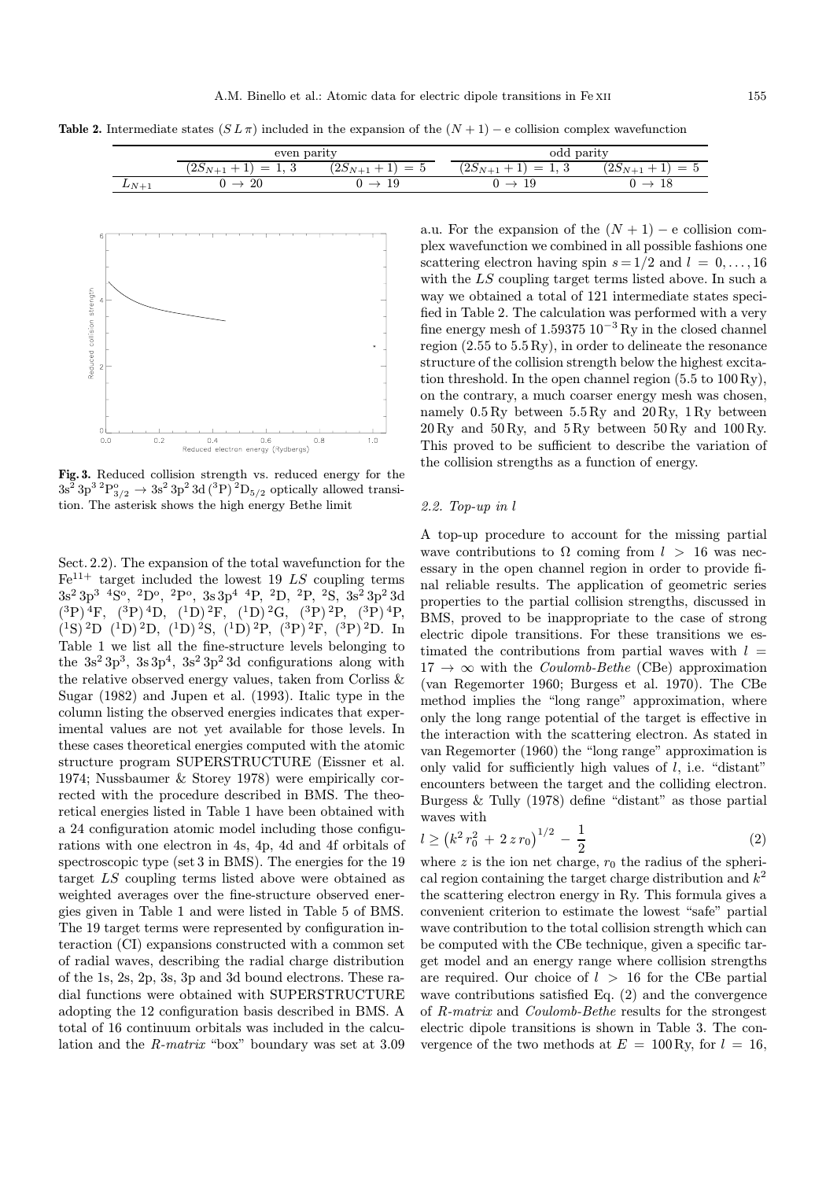Table 2. Intermediate states  $(S L \pi)$  included in the expansion of the  $(N + 1) - e$  collision complex wavefunction

|          | even parity                         |                    | odd parity                                   |                    |
|----------|-------------------------------------|--------------------|----------------------------------------------|--------------------|
|          | റ ല<br>$=$<br>$\Delta$ DN+1<br>Ι, U | $=$<br>$12D_{N+1}$ | ົດ ຕ<br>$=$<br>$(2D_{N+1})$<br>◡<br><b>.</b> | $(2S_{N+1}$<br>$=$ |
| $LN_{+}$ | 20                                  | 19<br>_            | ΤA                                           | 10                 |



Fig. 3. Reduced collision strength vs. reduced energy for the  $3s^2 3p^3 2P_{3/2}^o \rightarrow 3s^2 3p^2 3d (3P) 2D_{5/2}$  optically allowed transition. The asterisk shows the high energy Bethe limit

Sect. 2.2). The expansion of the total wavefunction for the  $Fe<sup>11+</sup>$  target included the lowest 19 LS coupling terms  $3s^2 3p^3 4S^o$ ,  $^2D^o$ ,  $^2P^o$ ,  $3s 3p^4 4P$ ,  $^2D$ ,  $^2P$ ,  $^2S$ ,  $3s^2 3p^2 3d$  $(^3P)^4F$ ,  $(^3P)^4D$ ,  $(^1D)^2F$ ,  $(^1D)^2G$ ,  $(^3P)^2P$ ,  $(^3P)^4P$ ,  $(1S)$  <sup>2</sup>D  $(1D)$  <sup>2</sup>D,  $(1D)$  <sup>2</sup>S,  $(1D)$  <sup>2</sup>P,  $(3P)$  <sup>2</sup>F,  $(3P)$  <sup>2</sup>D. In Table 1 we list all the fine-structure levels belonging to the  $3s^2 3p^3$ ,  $3s 3p^4$ ,  $3s^2 3p^2 3d$  configurations along with the relative observed energy values, taken from Corliss & Sugar (1982) and Jupen et al. (1993). Italic type in the column listing the observed energies indicates that experimental values are not yet available for those levels. In these cases theoretical energies computed with the atomic structure program SUPERSTRUCTURE (Eissner et al. 1974; Nussbaumer & Storey 1978) were empirically corrected with the procedure described in BMS. The theoretical energies listed in Table 1 have been obtained with a 24 configuration atomic model including those configurations with one electron in 4s, 4p, 4d and 4f orbitals of spectroscopic type (set 3 in BMS). The energies for the 19 target LS coupling terms listed above were obtained as weighted averages over the fine-structure observed energies given in Table 1 and were listed in Table 5 of BMS. The 19 target terms were represented by configuration interaction (CI) expansions constructed with a common set of radial waves, describing the radial charge distribution of the 1s, 2s, 2p, 3s, 3p and 3d bound electrons. These radial functions were obtained with SUPERSTRUCTURE adopting the 12 configuration basis described in BMS. A total of 16 continuum orbitals was included in the calculation and the R-matrix "box" boundary was set at 3.09

a.u. For the expansion of the  $(N + 1) - e$  collision complex wavefunction we combined in all possible fashions one scattering electron having spin  $s = 1/2$  and  $l = 0, \ldots, 16$ with the LS coupling target terms listed above. In such a way we obtained a total of 121 intermediate states specified in Table 2. The calculation was performed with a very fine energy mesh of 1.59375 10<sup>−</sup><sup>3</sup> Ry in the closed channel region (2.55 to 5.5 Ry), in order to delineate the resonance structure of the collision strength below the highest excitation threshold. In the open channel region (5.5 to 100 Ry), on the contrary, a much coarser energy mesh was chosen, namely 0.5 Ry between 5.5 Ry and 20 Ry, 1 Ry between  $20 \text{Rv}$  and  $50 \text{Rv}$ , and  $5 \text{Rv}$  between  $50 \text{Rv}$  and  $100 \text{Rv}$ . This proved to be sufficient to describe the variation of the collision strengths as a function of energy.

### 2.2. Top-up in l

A top-up procedure to account for the missing partial wave contributions to  $\Omega$  coming from  $l > 16$  was necessary in the open channel region in order to provide final reliable results. The application of geometric series properties to the partial collision strengths, discussed in BMS, proved to be inappropriate to the case of strong electric dipole transitions. For these transitions we estimated the contributions from partial waves with  $l =$  $17 \rightarrow \infty$  with the *Coulomb-Bethe* (CBe) approximation (van Regemorter 1960; Burgess et al. 1970). The CBe method implies the "long range" approximation, where only the long range potential of the target is effective in the interaction with the scattering electron. As stated in van Regemorter (1960) the "long range" approximation is only valid for sufficiently high values of  $l$ , i.e. "distant" encounters between the target and the colliding electron. Burgess & Tully (1978) define "distant" as those partial waves with

$$
l \ge \left(k^2 \, r_0^2 \, + \, 2 \, z \, r_0\right)^{1/2} \, - \, \frac{1}{2} \tag{2}
$$

where z is the ion net charge,  $r_0$  the radius of the spherical region containing the target charge distribution and  $k^2$ the scattering electron energy in Ry. This formula gives a convenient criterion to estimate the lowest "safe" partial wave contribution to the total collision strength which can be computed with the CBe technique, given a specific target model and an energy range where collision strengths are required. Our choice of  $l > 16$  for the CBe partial wave contributions satisfied Eq. (2) and the convergence of R-matrix and Coulomb-Bethe results for the strongest electric dipole transitions is shown in Table 3. The convergence of the two methods at  $E = 100 \text{ Ry},$  for  $l = 16$ ,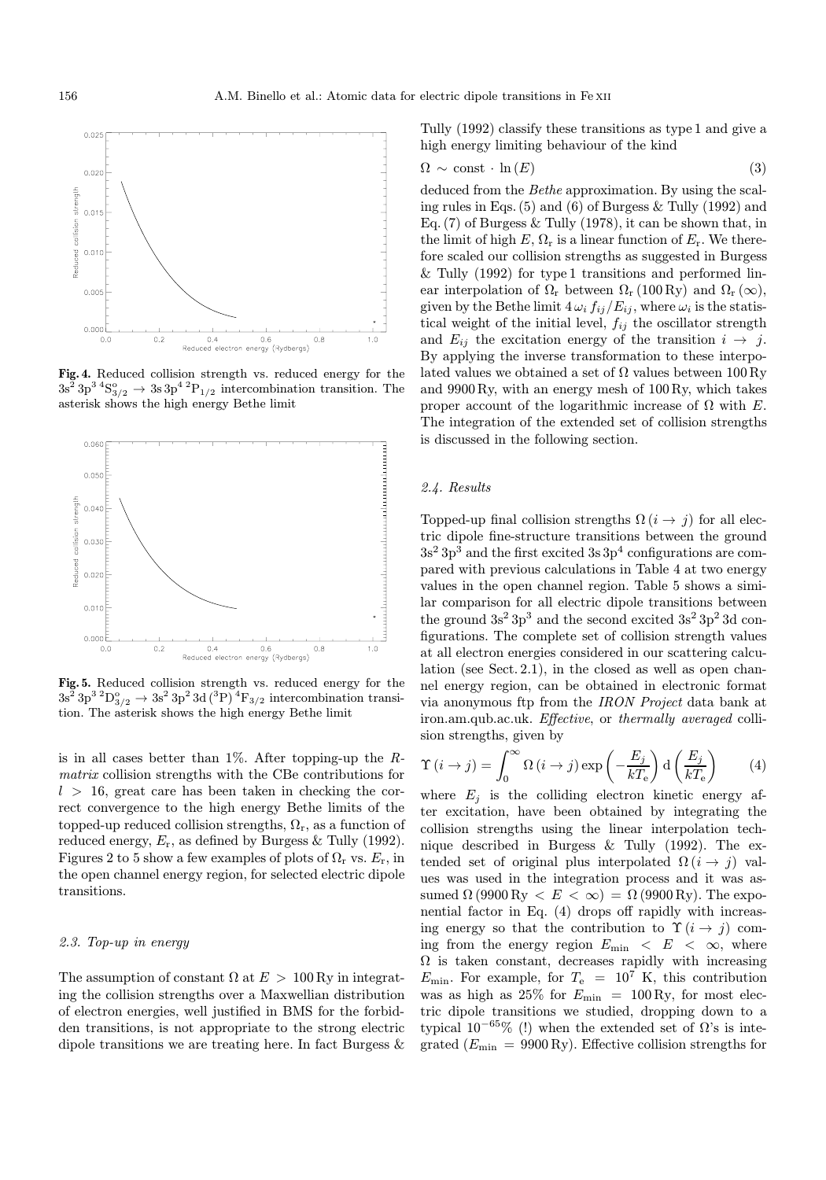

Fig. 4. Reduced collision strength vs. reduced energy for the  $3s^2 3p^3 4S^{\circ}_{3/2} \rightarrow 3s 3p^4 2P_{1/2}$  intercombination transition. The asterisk shows the high energy Bethe limit



Fig. 5. Reduced collision strength vs. reduced energy for the  $3s^2 3p^3 2D_{3/2}^{\circ} \rightarrow 3s^2 3p^2 3d ({}^{3}P)^4F_{3/2}$  intercombination transition. The asterisk shows the high energy Bethe limit

is in all cases better than  $1\%$ . After topping-up the Rmatrix collision strengths with the CBe contributions for  $l > 16$ , great care has been taken in checking the correct convergence to the high energy Bethe limits of the topped-up reduced collision strengths,  $\Omega_r$ , as a function of reduced energy,  $E_r$ , as defined by Burgess & Tully (1992). Figures 2 to 5 show a few examples of plots of  $\Omega_r$  vs.  $E_r$ , in the open channel energy region, for selected electric dipole transitions.

#### 2.3. Top-up in energy

The assumption of constant  $\Omega$  at  $E > 100$  Ry in integrating the collision strengths over a Maxwellian distribution of electron energies, well justified in BMS for the forbidden transitions, is not appropriate to the strong electric dipole transitions we are treating here. In fact Burgess & Tully (1992) classify these transitions as type 1 and give a high energy limiting behaviour of the kind

$$
\Omega \sim \text{const} \cdot \ln(E) \tag{3}
$$

deduced from the Bethe approximation. By using the scaling rules in Eqs. (5) and (6) of Burgess & Tully (1992) and Eq.  $(7)$  of Burgess & Tully  $(1978)$ , it can be shown that, in the limit of high  $E, \Omega_r$  is a linear function of  $E_r$ . We therefore scaled our collision strengths as suggested in Burgess & Tully (1992) for type 1 transitions and performed linear interpolation of  $\Omega_r$  between  $\Omega_r$  (100 Ry) and  $\Omega_r$  ( $\infty$ ), given by the Bethe limit  $4\,\omega_i\,f_{ij}/E_{ij},$  where  $\omega_i$  is the statistical weight of the initial level,  $f_{ij}$  the oscillator strength and  $E_{ij}$  the excitation energy of the transition  $i \rightarrow j$ . By applying the inverse transformation to these interpolated values we obtained a set of  $\Omega$  values between 100 Ry and 9900 Ry, with an energy mesh of 100 Ry, which takes proper account of the logarithmic increase of  $\Omega$  with E. The integration of the extended set of collision strengths is discussed in the following section.

#### 2.4. Results

Topped-up final collision strengths  $\Omega(i \to j)$  for all electric dipole fine-structure transitions between the ground  $3s<sup>2</sup> 3p<sup>3</sup>$  and the first excited  $3s 3p<sup>4</sup>$  configurations are compared with previous calculations in Table 4 at two energy values in the open channel region. Table 5 shows a similar comparison for all electric dipole transitions between the ground  $3s^2 3p^3$  and the second excited  $3s^2 3p^2 3d$  configurations. The complete set of collision strength values at all electron energies considered in our scattering calculation (see Sect. 2.1), in the closed as well as open channel energy region, can be obtained in electronic format via anonymous ftp from the IRON Project data bank at iron.am.qub.ac.uk. Effective, or thermally averaged collision strengths, given by

$$
\Upsilon(i \to j) = \int_0^\infty \Omega(i \to j) \exp\left(-\frac{E_j}{kT_e}\right) d\left(\frac{E_j}{kT_e}\right) \tag{4}
$$

where  $E_j$  is the colliding electron kinetic energy after excitation, have been obtained by integrating the collision strengths using the linear interpolation technique described in Burgess & Tully (1992). The extended set of original plus interpolated  $\Omega(i \to j)$  values was used in the integration process and it was assumed  $\Omega$  (9900 Ry  $\langle E \rangle \langle \infty \rangle = \Omega$  (9900 Ry). The exponential factor in Eq. (4) drops off rapidly with increasing energy so that the contribution to  $\Upsilon(i \rightarrow j)$  coming from the energy region  $E_{\text{min}} < E < \infty$ , where  $\Omega$  is taken constant, decreases rapidly with increasing  $E_{\text{min}}$ . For example, for  $T_e = 10^7$  K, this contribution was as high as  $25\%$  for  $E_{\text{min}} = 100 \text{ Ry}$ , for most electric dipole transitions we studied, dropping down to a typical  $10^{-65}\%$  (!) when the extended set of  $\Omega$ 's is integrated  $(E_{\text{min}} = 9900 \text{ Ry})$ . Effective collision strengths for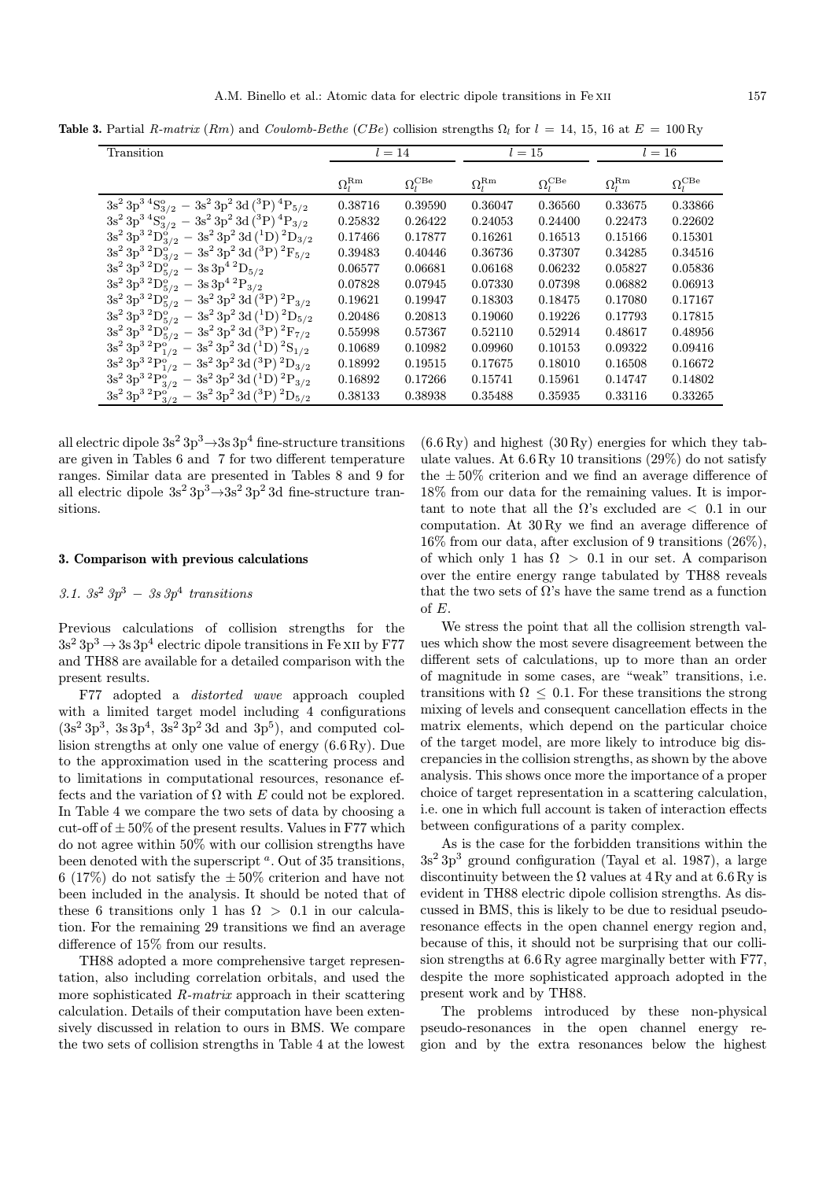Table 3. Partial R-matrix (Rm) and Coulomb-Bethe (CBe) collision strengths  $\Omega_l$  for  $l = 14, 15, 16$  at  $E = 100$  Ry

|                                                                           | $l=14$              |                           |                     |                           | $l=16$              |                           |  |
|---------------------------------------------------------------------------|---------------------|---------------------------|---------------------|---------------------------|---------------------|---------------------------|--|
| Transition                                                                |                     |                           |                     | $l=15$                    |                     |                           |  |
|                                                                           |                     |                           |                     |                           |                     |                           |  |
|                                                                           | $\Omega_l^{\rm Rm}$ | $\Omega_l^{\mathrm{CBe}}$ | $\Omega_l^{\rm Rm}$ | $\Omega_l^{\mathrm{CBe}}$ | $\Omega_l^{\rm Rm}$ | $\Omega_l^{\mathrm{CBe}}$ |  |
| $3s^23p^34S_{3/2}^o - 3s^23p^23d(3P)^4P_{5/2}$                            | 0.38716             | 0.39590                   | 0.36047             | 0.36560                   | 0.33675             | 0.33866                   |  |
| $3s^23p^34S^o_{3/2} - 3s^23p^23d(3P)^4P_{3/2}$                            | 0.25832             | 0.26422                   | 0.24053             | 0.24400                   | 0.22473             | 0.22602                   |  |
| $3s^2\,3p^3\,{}^2D^{\dot o}_{3/2}\,-\,3s^2\,3p^2\,3d\,(^1D)\,{}^2D_{3/2}$ | 0.17466             | 0.17877                   | 0.16261             | 0.16513                   | 0.15166             | 0.15301                   |  |
| $3s^2 3p^3 2D_{3/2}^o - 3s^2 3p^2 3d ({}^{3}P)^2F_{5/2}$                  | 0.39483             | 0.40446                   | 0.36736             | 0.37307                   | 0.34285             | 0.34516                   |  |
| $3s^2\,3p^3\,{}^2D^o_{5/2}$ – $3s\,3p^4\,{}^2D_{5/2}$                     | 0.06577             | 0.06681                   | 0.06168             | 0.06232                   | 0.05827             | 0.05836                   |  |
| $3s^2\,3p^3\,{}^2D^o_{5/2}$ – $3s\,3p^4\,{}^2P_{3/2}$                     | 0.07828             | 0.07945                   | 0.07330             | 0.07398                   | 0.06882             | 0.06913                   |  |
| $3s^2 3p^3 2D_{5/2}^o - 3s^2 3p^2 3d (3P) 2P_{3/2}$                       | 0.19621             | 0.19947                   | 0.18303             | 0.18475                   | 0.17080             | 0.17167                   |  |
| $3s^2 3p^3 2D_{5/2}^o - 3s^2 3p^2 3d (1D) 2D_{5/2}$                       | 0.20486             | 0.20813                   | 0.19060             | 0.19226                   | 0.17793             | 0.17815                   |  |
| $3s^23p^3{}^2D^o_{5/2} - 3s^23p^23d(^3P){}^2F_{7/2}$                      | 0.55998             | 0.57367                   | 0.52110             | 0.52914                   | 0.48617             | 0.48956                   |  |
| $3s^2 3p^3 2P_{1/2}^o - 3s^2 3p^2 3d (1D) 2S_{1/2}$                       | 0.10689             | 0.10982                   | 0.09960             | 0.10153                   | 0.09322             | 0.09416                   |  |
| $3s^23p^3{}^2P^o_{1/2} - 3s^23p^23d ({}^3P){}^2D_{3/2}$                   | 0.18992             | 0.19515                   | 0.17675             | 0.18010                   | 0.16508             | 0.16672                   |  |
| $3s^2 3p^3 2P_{3/2}^o - 3s^2 3p^2 3d (1D) 2P_{3/2}$                       | 0.16892             | 0.17266                   | 0.15741             | 0.15961                   | 0.14747             | 0.14802                   |  |
| $3s^2\,3p^3\,{}^2P^o_{3/2}\,-\,3s^2\,3p^2\,3d\,(^3P)\,{}^2D_{5/2}$        | 0.38133             | 0.38938                   | 0.35488             | 0.35935                   | 0.33116             | 0.33265                   |  |

all electric dipole  $3s^2 3p^3 \rightarrow 3s 3p^4$  fine-structure transitions are given in Tables 6 and 7 for two different temperature ranges. Similar data are presented in Tables 8 and 9 for all electric dipole  $3s^2 3p^3 \rightarrow 3s^2 3p^2 3d$  fine-structure transitions.

### 3. Comparison with previous calculations

# 3.1.  $3s^2 3p^3 - 3s 3p^4$  transitions

Previous calculations of collision strengths for the  $3s^2 3p^3 \rightarrow 3s 3p^4$  electric dipole transitions in Fe XII by F77 and TH88 are available for a detailed comparison with the present results.

F77 adopted a distorted wave approach coupled with a limited target model including 4 configurations  $(3s<sup>2</sup>3p<sup>3</sup>, 3s3p<sup>4</sup>, 3s<sup>2</sup>3p<sup>2</sup>3d and 3p<sup>5</sup>)$ , and computed collision strengths at only one value of energy (6.6 Ry). Due to the approximation used in the scattering process and to limitations in computational resources, resonance effects and the variation of  $\Omega$  with E could not be explored. In Table 4 we compare the two sets of data by choosing a cut-off of  $\pm 50\%$  of the present results. Values in F77 which do not agree within 50% with our collision strengths have been denoted with the superscript  $\alpha$ . Out of 35 transitions, 6 (17%) do not satisfy the  $\pm 50\%$  criterion and have not been included in the analysis. It should be noted that of these 6 transitions only 1 has  $\Omega > 0.1$  in our calculation. For the remaining 29 transitions we find an average difference of 15% from our results.

TH88 adopted a more comprehensive target representation, also including correlation orbitals, and used the more sophisticated R-matrix approach in their scattering calculation. Details of their computation have been extensively discussed in relation to ours in BMS. We compare the two sets of collision strengths in Table 4 at the lowest  $(6.6 \,\text{Ry})$  and highest  $(30 \,\text{Ry})$  energies for which they tabulate values. At 6.6 Ry 10 transitions (29%) do not satisfy the  $\pm 50\%$  criterion and we find an average difference of 18% from our data for the remaining values. It is important to note that all the  $\Omega$ 's excluded are  $\langle$  0.1 in our computation. At 30 Ry we find an average difference of 16% from our data, after exclusion of 9 transitions (26%), of which only 1 has  $\Omega > 0.1$  in our set. A comparison over the entire energy range tabulated by TH88 reveals that the two sets of  $\Omega$ 's have the same trend as a function of E.

We stress the point that all the collision strength values which show the most severe disagreement between the different sets of calculations, up to more than an order of magnitude in some cases, are "weak" transitions, i.e. transitions with  $\Omega \leq 0.1$ . For these transitions the strong mixing of levels and consequent cancellation effects in the matrix elements, which depend on the particular choice of the target model, are more likely to introduce big discrepancies in the collision strengths, as shown by the above analysis. This shows once more the importance of a proper choice of target representation in a scattering calculation, i.e. one in which full account is taken of interaction effects between configurations of a parity complex.

As is the case for the forbidden transitions within the  $3s<sup>2</sup> 3p<sup>3</sup>$  ground configuration (Tayal et al. 1987), a large discontinuity between the  $\Omega$  values at 4 Ry and at 6.6 Ry is evident in TH88 electric dipole collision strengths. As discussed in BMS, this is likely to be due to residual pseudoresonance effects in the open channel energy region and, because of this, it should not be surprising that our collision strengths at 6.6 Ry agree marginally better with F77, despite the more sophisticated approach adopted in the present work and by TH88.

The problems introduced by these non-physical pseudo-resonances in the open channel energy region and by the extra resonances below the highest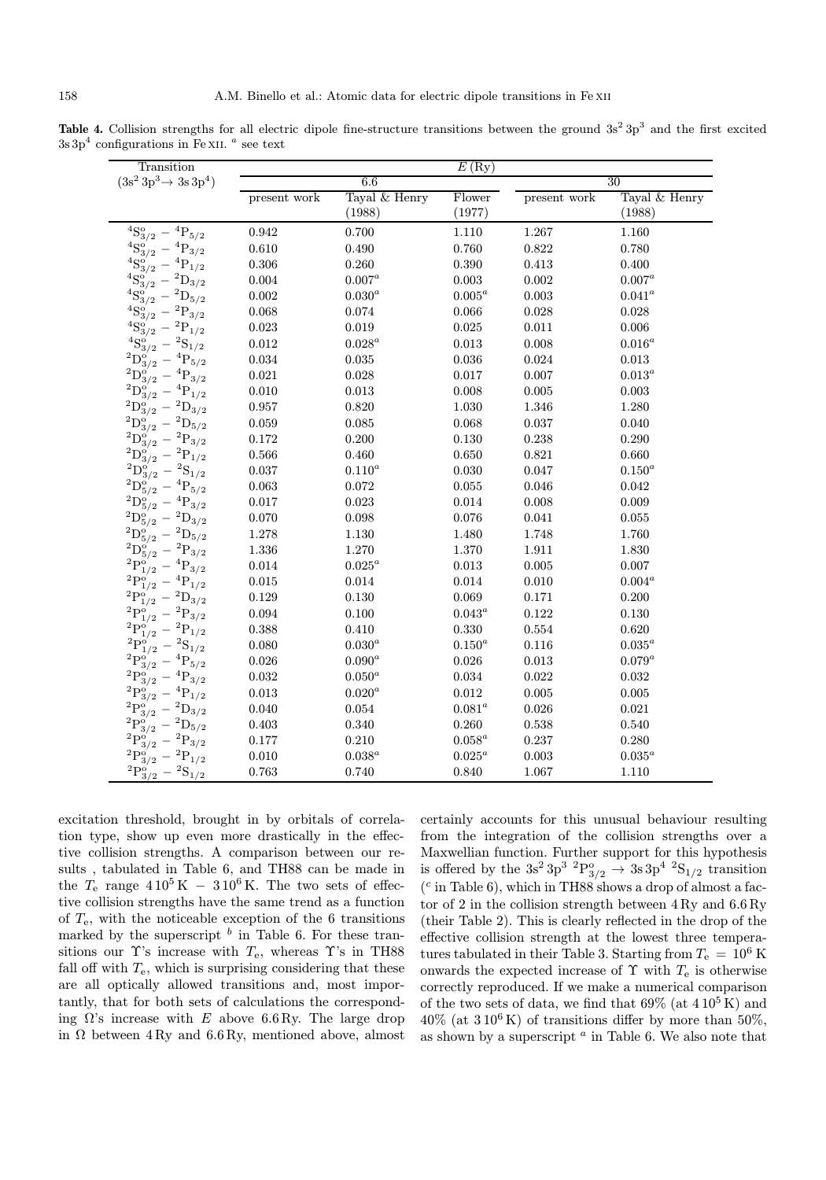**Table 4.** Collision strengths for all electric dipole fine-structure transitions between the ground  $3s^2 3p^3$  and the first excited  $3s3p<sup>4</sup>$  configurations in Fe XII.  $a$  see text

| Transition                                                |              |               | E(Ry)     |              |               |
|-----------------------------------------------------------|--------------|---------------|-----------|--------------|---------------|
| $(3s^2\,3p^3\rightarrow 3s\,3p^4)$                        |              | 6.6           |           |              | 30            |
|                                                           | present work | Tayal & Henry | Flower    | present work | Tayal & Henry |
|                                                           |              | (1988)        | (1977)    |              | (1988)        |
| ${}^{4}S_{3/2}^{o}$<br>$^4\mathrm{P}_{5/2}$               | 0.942        | 0.700         | 1.110     | 1.267        | 1.160         |
| $^{4}S_{3/2}^{o}$<br>$^4\mathrm{P}_{3/2}$                 | 0.610        | 0.490         | 0.760     | 0.822        | 0.780         |
| ${}^4S^{\circ}_3$<br>${}^{4}P_{1/2}$                      | 0.306        | 0.260         | 0.390     | 0.413        | 0.400         |
| ${}^{4}S^{o'}_{3/2}$<br>$^2\mathrm{D}_{3/2}$              | 0.004        | $0.007^a$     | 0.003     | 0.002        | $0.007^a$     |
| $^4\mathrm{S}_{3/2}^{\mathrm{o}}$<br>$^2\mathrm{D}_{5/2}$ | 0.002        | $0.030^a$     | $0.005^a$ | 0.003        | $0.041^a$     |
| ${}^{4}S^{o}_{3/2}$<br>$^2\mathrm{P}_{3/2}$               | 0.068        | $\,0.074\,$   | 0.066     | 0.028        | 0.028         |
| $^{4}S_{3/2}^{0'}$<br>$^2\mathrm{P}_{1/2}$                | 0.023        | 0.019         | 0.025     | 0.011        | 0.006         |
| ${}^{4}S_{3/2}^{o'}$<br>$\mathrm{S}_{1/2}$                | $\,0.012\,$  | $0.028^a$     | 0.013     | 0.008        | $0.016^a$     |
| $^{2}D^{o}_{3/2}$<br>$\mathrm{P}_{5/2}$                   | 0.034        | 0.035         | 0.036     | 0.024        | $\,0.013\,$   |
| $^2\mathrm{D}_{3/2}^{\mathrm{o}}$<br>$\mathrm{P}_{3/2}$   | 0.021        | 0.028         | 0.017     | 0.007        | $0.013^a$     |
| $^2\mathrm{D}^{\mathrm{o}}_{3/2}$<br>$P_{1/2}$            | 0.010        | 0.013         | 0.008     | 0.005        | 0.003         |
| $^2\mathrm{D}_{3/2}^{\mathrm{o}}$<br>$^2\mathrm{D}_{3/2}$ | 0.957        | 0.820         | 1.030     | 1.346        | 1.280         |
| $^2\mathrm{D}_{3/2}^{\mathrm{o}}$<br>$^2\mathrm{D}_{5/2}$ | 0.059        | 0.085         | 0.068     | 0.037        | 0.040         |
| $^2\mathrm{D}_{3/2}^{\mathrm{o}}$<br>${}^{2}P_{3/2}$      | 0.172        | 0.200         | 0.130     | 0.238        | 0.290         |
| $^2\mathrm{D}_{3/2}^{\mathrm{o}}$<br>$^2\mathrm{P}_{1/2}$ | 0.566        | 0.460         | 0.650     | 0.821        | 0.660         |
| $^2\mathrm{D}_{3/2}^{\mathrm{o}}$<br>${}^{2}S_{1/2}$      | 0.037        | $0.110^a$     | 0.030     | 0.047        | $0.150^a$     |
| $^2\mathrm{D}_{5/2}^{\mathrm{o}}$<br>$P_{5/2}$            | 0.063        | 0.072         | 0.055     | 0.046        | 0.042         |
| $^2\mathrm{D}_{5/2}^{\mathrm{o}}$<br>$P_{3/2}$            | 0.017        | 0.023         | 0.014     | 0.008        | 0.009         |
| $^2\mathrm{D}_{5/2}^{\mathrm{o}}$<br>${}^{2}D_{3/2}$      | 0.070        | 0.098         | 0.076     | 0.041        | 0.055         |
| $^{2}D^{o}_{5/2}$<br>$^{2}D_{5/2}$                        | 1.278        | 1.130         | 1.480     | 1.748        | 1.760         |
| $^{2}D_{\epsilon}^{\circ}$<br>$P_{3/2}$                   | 1.336        | 1.270         | 1.370     | 1.911        | 1.830         |
| $^{2}P_{1}^{o}$<br>$\mathrm{P}_{3/2}$                     | 0.014        | $0.025^a$     | 0.013     | 0.005        | 0.007         |
| ${}^{2}P_{1}^{o}$<br>${}^{4}P_{1/2}$                      | $\,0.015\,$  | 0.014         | 0.014     | 0.010        | $0.004^a$     |
| $^{2}P_{1}^{c}$<br>$^{2}D_{3/2}$                          | 0.129        | 0.130         | 0.069     | 0.171        | 0.200         |
| $^{2}P_{2}^{o}$<br>$P_{3/2}$<br>1/2                       | 0.094        | 0.100         | $0.043^a$ | 0.122        | 0.130         |
| $^{2}P_{1}^{o}$<br>$P_{1/2}$<br>1/2                       | 0.388        | 0.410         | 0.330     | 0.554        | 0.620         |
| $^{2}P_{1}^{o}$<br>$\mathrm{S}_{1/2}$<br>1/2              | 0.080        | $0.030^a$     | $0.150^a$ | 0.116        | $0.035^a$     |
| $^{2}P_{8}^{o}$<br>$\mathrm{P}_{5/2}$<br>3/2              | 0.026        | $0.090^a$     | 0.026     | 0.013        | $0.079^a$     |
| $^{2}P_{2}^{o}$<br>${}^{4}P_{3/2}$                        | 0.032        | $0.050^a$     | 0.034     | 0.022        | 0.032         |
| $^{2}P_{8}^{9}$<br>$P_{1/2}$                              | 0.013        | $0.020^a$     | 0.012     | 0.005        | 0.005         |
| $^{2}P_{8}^{0}$<br>$^2\mathrm{D}_{3/2}$                   | 0.040        | 0.054         | $0.081^a$ | 0.026        | 0.021         |
| $^{2}P_{8}^{0}$<br>$^2\mathrm{D}_{5/2}$                   | 0.403        | 0.340         | 0.260     | 0.538        | 0.540         |
| $^{2}P^{c}$<br>$^2\mathrm{P}_{3/2}$<br>3/2                | 0.177        | 0.210         | $0.058^a$ | 0.237        | 0.280         |
| $^2\mathrm{P}^\mathrm{o}_{3/2}$<br>$^2\mathrm{P}_{1/2}$   | 0.010        | $0.038^a$     | $0.025^a$ | 0.003        | $0.035^a$     |
| $^{2}P^{\rm o}_{3/2}$<br>$^{2}S_{1/2}$                    | 0.763        | 0.740         | 0.840     | 1.067        | 1.110         |

excitation threshold, brought in by orbitals of correlation type, show up even more drastically in the effective collision strengths. A comparison between our results , tabulated in Table 6, and TH88 can be made in the  $T_e$  range  $410^5$  K  $-310^6$  K. The two sets of effective collision strengths have the same trend as a function of  $T_e$ , with the noticeable exception of the 6 transitions marked by the superscript  $\frac{b}{b}$  in Table 6. For these transitions our  $\Upsilon$ 's increase with  $T_e$ , whereas  $\Upsilon$ 's in TH88 fall off with  $T_e$ , which is surprising considering that these are all optically allowed transitions and, most importantly, that for both sets of calculations the corresponding  $\Omega$ 's increase with E above 6.6 Ry. The large drop in  $\Omega$  between 4 Ry and 6.6 Ry, mentioned above, almost

certainly accounts for this unusual behaviour resulting from the integration of the collision strengths over a Maxwellian function. Further support for this hypothesis is offered by the  $3s^2 3p^3 2P_{3/2}^o \rightarrow 3s 3p^4 2S_{1/2}$  transition  $(c$  in Table 6), which in TH88 shows a drop of almost a factor of 2 in the collision strength between 4 Ry and 6.6 Ry (their Table 2). This is clearly reflected in the drop of the effective collision strength at the lowest three temperatures tabulated in their Table 3. Starting from  $T_e = 10^6$  K onwards the expected increase of  $\Upsilon$  with  $T_e$  is otherwise correctly reproduced. If we make a numerical comparison of the two sets of data, we find that  $69\%$  (at  $410^5$ K) and  $40\%$  (at  $310^6$ K) of transitions differ by more than  $50\%$ , as shown by a superscript  $^a$  in Table 6. We also note that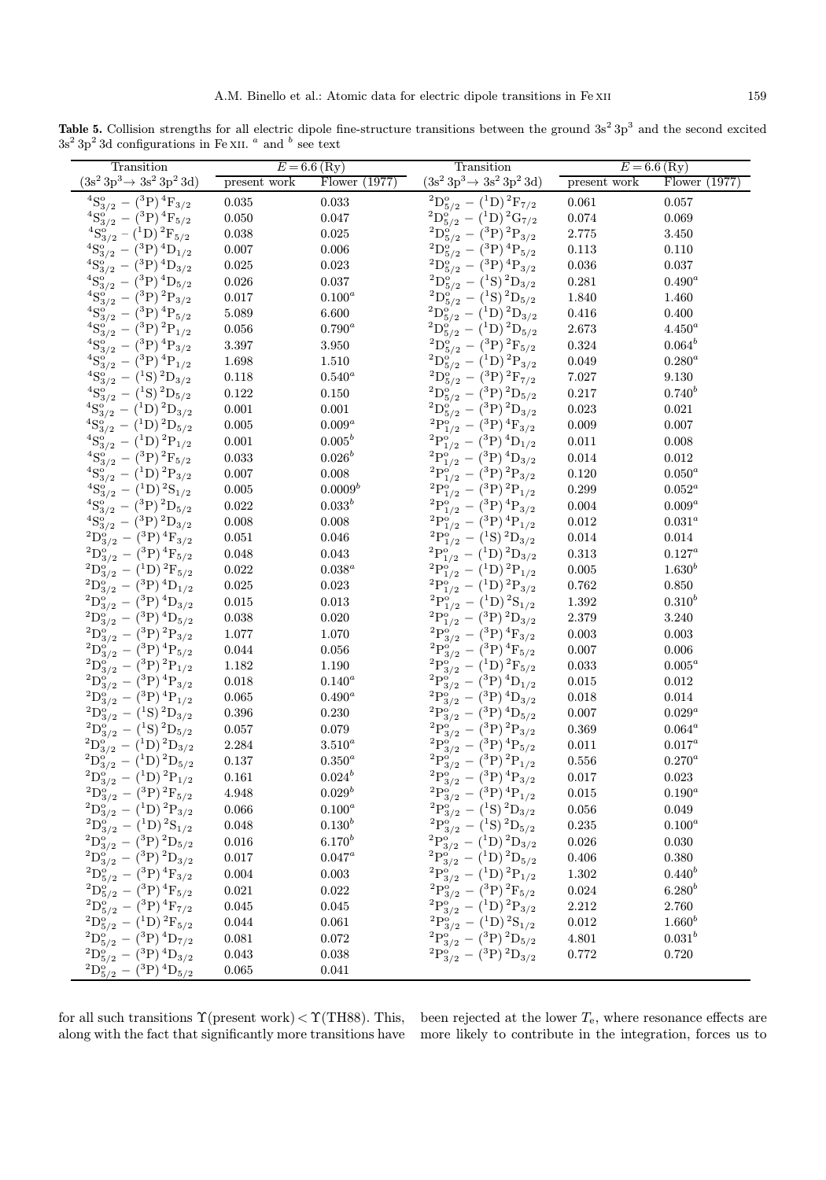Table 5. Collision strengths for all electric dipole fine-structure transitions between the ground  $3s^2 3p^3$  and the second excited  $3s^2 3p^2 3d$  configurations in Fe XII.  $^a$  and  $^b$  see text

| Transition                                                                                                           |                    | $E = 6.6$ (Ry)  | Transition                                        |              | $E = 6.6$ (Ry)  |
|----------------------------------------------------------------------------------------------------------------------|--------------------|-----------------|---------------------------------------------------|--------------|-----------------|
| $(3s^2 3p^3 \rightarrow 3s^2 3p^2 3d)$                                                                               | present work       | Flower $(1977)$ | $(3s^2\,3p^3 \rightarrow 3s^2\,3p^2\,3d)$         | present work | Flower $(1977)$ |
| ${}^{4}S_{3/2}^{o} - ({}^{3}P) \, {}^{4}F_{3/2}$                                                                     | 0.035              | $\,0.033\,$     | $^{2}D_{5/2}^{o} - {^{1}D})^{2}F_{7/2}$           | 0.061        | 0.057           |
| ${}^{4}\text{S}_{3/2}^{\text{o}'} - ({}^{3}\text{P})\, {}^{4}\text{F}_{5/2}$                                         | 0.050              | 0.047           | $^{2}D^{o}_{5/2}-(^{1}D)^{2}G_{7/2}$              | $\,0.074\,$  | 0.069           |
| ${}^{4}\text{S}_{3/2}^{\text{o}} - ({}^{1}\text{D})$ ${}^{2}\text{F}_{5/2}$                                          | 0.038              | 0.025           | $^{2}D_{5/2}^{o} - {^{3}P})^{2}P_{3/2}$           | $2.775\,$    | 3.450           |
| ${}^{4}S^{o}_{3/2} - ({}^{3}P) \, {}^{4}D_{1/2}$                                                                     | $0.007\,$          | 0.006           | $^{2}D_{5/2}^{o} - {^{3}P}) \,^{4}P_{5/2}$        | 0.113        | 0.110           |
| $^{4}S^{o'}_{3/2}-(^{3}P)^{4}D_{3/2}$                                                                                | $\,0.025\,$        | $\,0.023\,$     | $^{2}D_{5/2}^{9} - {^{3}P_{1}}^{4}P_{3/2}$        | 0.036        | 0.037           |
| $^{4}S^{o}_{3/2}-(^{3}P)\,^{4}D_{5/2}$                                                                               | $\,0.026\,$        | $\,0.037\,$     | $^{2}D_{5/2}^{o'} - {^{1}S})^{2}D_{3/2}$          | $\rm 0.281$  | $0.490^a$       |
| ${}^{4}\text{S}_{3/2}^{\text{o}'} - ({}^{3}\text{P})$ ${}^{2}\text{P}_{3/2}$                                         | $0.017\,$          | $0.100^a$       | ${}^{2}D_{5/2}^{9} - ({}^{1}S) {}^{2}D_{5/2}$     | 1.840        | 1.460           |
| ${}^{4}\text{S}_{3/2}^{\text{o}'} - ({}^{3}\text{P})$ ${}^{4}\text{P}_{5/2}$                                         | $5.089\,$          | 6.600           | $^{2}D_{5/2}^{0} - {^{1}D})^{2}D_{3/2}$           | 0.416        | 0.400           |
| $^{4}\mathrm{S}_{3/2}^{\mathrm{o}^{\prime}}-\left( ^{3}\mathrm{P}\right) ^{2}\mathrm{P}_{1/2}^{\mathrm{o}^{\prime}}$ | $\,0.056\,$        | $0.790^a$       | $^{2}D_{5/2}^{9} - {^{1}D})^{2}D_{5/2}$           | $2.673\,$    | $4.450^a$       |
| $^{4}\mathrm{S}_{3/2}^{\mathrm{o}'}-\left( ^{3}\mathrm{P}\right) {}^{4}\mathrm{P}_{3/2}$                             | $3.397\,$          | $3.950\,$       | $^{2}D_{5/2}^{o} - {^{3}P})^{2}F_{5/2}$           | $\,0.324\,$  | $0.064^b$       |
| ${}^{4}\text{S}_{3/2}^{\text{o}'} - ({}^{3}\text{P})\, {}^{4}\text{P}_{1/2}$                                         | 1.698              | 1.510           | $^{2}D^{o'}_{5/2}-(^{1}D)^{2}P_{3/2}$             | 0.049        | $0.280^a$       |
| ${}^{4}S^{o'}_{3/2} - ({}^{1}S) {}^{2}D_{3/2}$                                                                       | 0.118              | $0.540^a$       | $^{2}D^{o'}_{5/2}-(^{3}P)\,^{2}F_{7/2}$           | 7.027        | $9.130\,$       |
| ${}^{4}\text{S}_{3/2}^{\text{o}'} - ({}^{1}\text{S})$ ${}^{2}\text{D}_{5/2}$                                         | $\rm 0.122$        | $0.150\,$       | $^{2}D^{o'}_{5/2} - {^{3}P})^{2}D_{5/2}$          | 0.217        | $0.740^{b}$     |
| ${}^{4}S_{3/2}^{o'} - ({}^{1}D) {}^{2}D_{3/2}$                                                                       | 0.001              | 0.001           | $^{2}D^{o'}_{5/2}-(^{3}P)\,^{2}D_{3/2}$           | 0.023        | 0.021           |
| ${}^{4}\text{S}_{3/2}^{\text{o}}-\left({}^{1}\text{D}\right){}^{2}\text{D}_{5/2}$                                    | $\,0.005\,$        | $0.009^a$       | $^{2}P^{o}_{1/2}-(^{3}P)^{4}F_{3/2}$              | 0.009        | 0.007           |
| ${}^{4}S_{3/2}^{o} - ({}^{1}D) {}^{2}P_{1/2}$                                                                        | 0.001              | $0.005^{b}$     | ${}^{2}P^{o'}_{1/2} - ({}^{3}P) \, {}^{4}D_{1/2}$ | 0.011        | 0.008           |
| $^{4}S_{3/2}^{o} - {^{(3}P)}^2F_{5/2}$                                                                               | $\,0.033\,$        | $0.026^b$       | $^{2}P_{1/2}^{o'} - {^{3}P})^{4}D_{3/2}$          | 0.014        | $\,0.012\,$     |
| ${}^{4}\text{S}_{3/2}^{\text{o}}-\left({}^{1}\text{D}\right){}^{2}\text{P}_{3/2}$                                    | $0.007\,$          | $0.008\,$       | $^{2}P_{1/2}^{o'} - {^{3}P})^{2}P_{3/2}$          | 0.120        | $0.050^a$       |
| ${}^{4}S_{3/2}^{o} - ({}^{1}D) {}^{2}S_{1/2}$                                                                        | $\,0.005\,$        | $0.0009^b$      | $^{2}P_{1/2}^{o'} - {^{3}P})^{2}P_{1/2}$          | 0.299        | $0.052^a$       |
| ${}^{4}\text{S}_{3/2}^{\text{o}}-\left({}^{3}\text{P}\right){}^{2}\text{D}_{5/2}$                                    | $\,0.022\,$        | $0.033^{b}$     | $^{2}P_{1/2}^{o} - {^{3}P_{1}}^{4}P_{3/2}$        | 0.004        | $0.009^a$       |
| ${}^{4}S_{3/2}^{o} - ({}^{3}P) {}^{2}D_{3/2}$                                                                        | 0.008              | $0.008\,$       | $^{2}P_{1/2}^{0} - {^{3}P_{1/2}}$                 | $\,0.012\,$  | $0.031^a$       |
| $^{2}D_{3/2}^{o} - {^{3}P})$ $^{4}F_{3/2}$                                                                           | $\,0.051\,$        | 0.046           | ${}^{2}P^{o'}_{1/2} - ({}^{1}S) {}^{2}D_{3/2}$    | 0.014        | $0.014\,$       |
| $^{2}D_{3/2}^{o} - {^{3}P})$ $^{4}F_{5/2}$                                                                           | 0.048              | 0.043           | ${}^{2}P^{o}_{1/2} - ({}^{1}D) {}^{2}D_{3/2}$     | $\rm 0.313$  | $0.127^a$       |
| $^{2}D_{3/2}^{o} - {^{1}D})^{2}F_{5/2}$                                                                              | $\,0.022\,$        | $0.038^a$       | ${}^{2}P^{o}_{1/2} - ({}^{1}D) {}^{2}P_{1/2}$     | $0.005\,$    | $1.630^{b}$     |
| $^{2}D_{3/2}^{o'} - {^{3}P})^{4}D_{1/2}$                                                                             | $\,0.025\,$        | $\,0.023\,$     | ${}^{2}P^{o}_{1/2} - ({}^{1}D) {}^{2}P_{3/2}$     | 0.762        | 0.850           |
| ${}^{2}D_{3/2}^{o} - ({}^{3}P) \, {}^{4}D_{3/2}$                                                                     | $\,0.015\,$        | $\,0.013\,$     | ${}^{2}P^{o}_{1/2} - ({}^{1}D) {}^{2}S_{1/2}$     | 1.392        | $0.310^{b}$     |
| $^{2}D_{3/2}^{o} - {^{3}P})^{4}D_{5/2}$                                                                              | $\,0.038\,$        | 0.020           | $^{2}P^{o'}_{1/2}-(^{3}P)^{2}D_{3/2}$             | $2.379\,$    | 3.240           |
| $^{2}D_{3/2}^{o} - {^{3}P})^{2}P_{3/2}$                                                                              | $1.077\,$          | 1.070           | ${}^{2}P^{o'}_{3/2} - ({}^{3}P) \, {}^{4}F_{3/2}$ | 0.003        | 0.003           |
| $^{2}D^{o}_{3/2}-(^{3}P)^{4}P_{5/2}$                                                                                 | $\,0.044\,$        | $0.056\,$       | $^{2}P^{o}_{3/2}-(^{3}P)^{4}F_{5/2}$              | 0.007        | 0.006           |
| $^{2}D_{3/2}^{o} - {^{3}P})^{2}P_{1/2}$                                                                              | $1.182\,$          | 1.190           | $^{2}P_{3/2}^{o'} - {^{1}D})^{2}F_{5/2}$          | 0.033        | $0.005^a$       |
| $^{2}D_{3/2}^{o'} - {^{3}P})^{4}P_{3/2}$                                                                             | 0.018              | $0.140^a$       | ${}^{2}P_{3/2}^{o'} - ({}^{3}P) \, {}^{4}D_{1/2}$ | 0.015        | $\,0.012\,$     |
| $^{2}D_{3/2}^{o} - {^{3}P})$ $^{4}P_{1/2}$                                                                           | $\,0.065\,$        | $0.490^a$       | $^{2}P_{3/2}^{9} - {^{3}P})^{4}D_{3/2}$           | 0.018        | 0.014           |
| $^{2}D_{3/2}^{9} - {^{1}S})^{2}D_{3/2}$                                                                              | $\,0.396\,$        | $0.230\,$       | $^{2}P_{3/2}^{o'} - {^{3}P})^{4}D_{5/2}^{o'}$     | 0.007        | $0.029^a$       |
| ${}^{2}D^{o}_{3/2} - ({}^{1}S) \, {}^{2}D_{5/2}$                                                                     | $0.057\,$          | 0.079           | $^{2}P_{3/2}^{9} - {^{3}P_{})^{2}P_{3/2}}$        | 0.369        | $0.064^a$       |
| ${}^{2}D_{3/2}^{o'} - ({}^{1}D) {}^{2}D_{3/2}$                                                                       | $\phantom{-}2.284$ | $3.510^a$       | $^{2}P_{3/2}^{9} - {^{3}P_{9}}_{/2}^{4}P_{5/2}$   | $0.011\,$    | $0.017^a$       |
| $^{2}D_{3/2}^{o'} - {^{1}D})^{2}D_{5/2}$                                                                             | $0.137\,$          | $0.350^a$       | $^{2}P^{o}_{3/2}-(^{3}P)^{2}P_{1/2}$              | 0.556        | $0.270^a$       |
| $^{2}D_{3/2}^{o} - {^{1}D})^{2}P_{1/2}$                                                                              | 0.161              | $0.024^{b}$     | $^{2}P_{3/2}^{o'} - {^{3}P})^{4}P_{3/2}$          | $0.017\,$    | 0.023           |
| $^{2}D^{o}_{3/2}-(^{3}P)^{2}F_{5/2}$                                                                                 | 4.948              | $0.029^b$       | $^{2}P^{o}_{3/2}-(^{3}P)^{4}P_{1/2}$              | 0.015        | $0.190^a$       |
| $^{2}D_{3/2}^{o} - {^{1}D})^{2}P_{3/2}$                                                                              | $0.066\,$          | $0.100^a$       | ${}^{2}P_{3/2}^{9} - ({}^{1}S) {}^{2}D_{3/2}$     | $\,0.056\,$  | 0.049           |
| ${}^{2}D^{o}_{3/2} - ({}^{1}D) {}^{2}S_{1/2}$                                                                        | 0.048              | $0.130^{b}$     | ${}^{2}P^{o}_{3/2} - ({}^{1}S) {}^{2}D_{5/2}$     | 0.235        | $0.100^a$       |
| $^{2}D_{3/2}^{o} - {^{3}P})^{2}D_{5/2}$                                                                              | 0.016              | $6.170^{b}$     | ${}^{2}P^{o}_{3/2} - ({}^{1}D) {}^{2}D_{3/2}$     | 0.026        | $0.030\,$       |
| $^{2}D_{3/2}^{o^{'}} - {^{(3}P)}^{2}D_{3/2}^{o^{'}}$                                                                 | 0.017              | $0.047^a$       | ${}^{2}P_{3/2}^{o'} - ({}^{1}D) {}^{2}D_{5/2}$    | 0.406        | 0.380           |
| $^{2}D_{5/2}^{9} - {^{3}P})$ $^{4}F_{3/2}$                                                                           | 0.004              | $\,0.003\,$     | ${}^{2}P^{o}_{3/2} - ({}^{1}D) {}^{2}P_{1/2}$     | $1.302\,$    | $0.440^{b}$     |
| $^{2}D_{5/2}^{o} - {^{3}P})$ $^{4}F_{5/2}$                                                                           | 0.021              | $\,0.022\,$     | $^{2}P^{o}_{3/2}-(^{3}P)\,^{2}F_{5/2}$            | $\,0.024\,$  | $6.280^{b}$     |
| $^{2}D^{o}_{5/2}-(^{3}P)^{4}F_{7/2}$                                                                                 | $\,0.045\,$        | $\,0.045\,$     | $^{2}P_{3/2}^{o'} - {^{1}D})^{2}P_{3/2}$          | 2.212        | 2.760           |
| $^{2}D_{5/2}^{o} - {^{1}D})^{2}F_{5/2}$                                                                              | 0.044              | 0.061           | ${}^{2}P^{o'}_{3/2} - ({}^{1}D) {}^{2}S_{1/2}$    | 0.012        | $1.660^{b}$     |
| $^{2}D_{5/2}^{9} - {^{3}P})^{4}D_{7/2}$                                                                              | 0.081              | $\,0.072\,$     | $^{2}P^{o'}_{3/2}-(^{3}P)^{2}D_{5/2}$             | 4.801        | $0.031^{b}$     |
| $^{2}D_{5/2}^{9} - {^{3}P})$ $^{4}D_{3/2}$                                                                           | $\,0.043\,$        | $\,0.038\,$     | ${}^{2}P^{o'}_{3/2} - ({}^{3}P){}^{2}D_{3/2}$     | 0.772        | $0.720\,$       |
| $^{2}D_{5/2}^{9'} - {^{3}P})^{4}D_{5/2}$                                                                             | 0.065              | 0.041           |                                                   |              |                 |
|                                                                                                                      |                    |                 |                                                   |              |                 |

for all such transitions  $\Upsilon$ (present work) <  $\Upsilon$ (TH88). This, along with the fact that significantly more transitions have been rejected at the lower  $T_{e}$ , where resonance effects are more likely to contribute in the integration, forces us to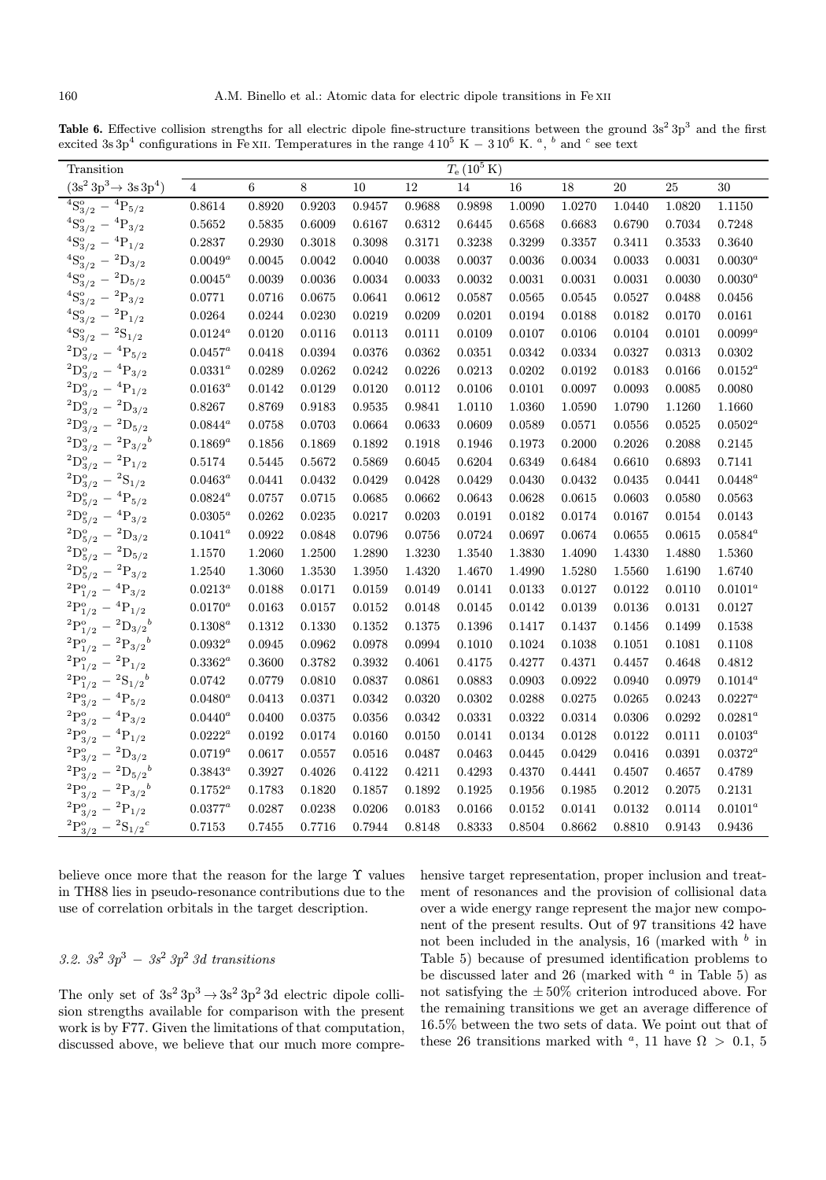Table 6. Effective collision strengths for all electric dipole fine-structure transitions between the ground  $3s^2 3p^3$  and the first excited 3s 3p<sup>4</sup> configurations in Fe xII. Temperatures in the range  $4\,10^5$  K  $-$  3  $10^6$  K. <sup>a</sup>, <sup>b</sup> and <sup>c</sup> see text

| Transition                                |                                 |        |        |              |        | $T_{\rm e}$ (10 <sup>5</sup> K) |        |        |        |        |              |
|-------------------------------------------|---------------------------------|--------|--------|--------------|--------|---------------------------------|--------|--------|--------|--------|--------------|
| $(3s^2\,3p^3 \rightarrow 3s\,3p^4)$       | $\overline{4}$                  | $\,6$  | $8\,$  | 10           | 12     | 14                              | 16     | 18     | 20     | 25     | 30           |
| $^{4}S_{3/2}^{o}$<br>$-{}^{4}P_{5/2}$     | 0.8614                          | 0.8920 | 0.9203 | 0.9457       | 0.9688 | 0.9898                          | 1.0090 | 1.0270 | 1.0440 | 1.0820 | 1.1150       |
| ${}^{4}S_{3/2}^{o} - {}^{4}P_{3/2}$       | 0.5652                          | 0.5835 | 0.6009 | 0.6167       | 0.6312 | 0.6445                          | 0.6568 | 0.6683 | 0.6790 | 0.7034 | 0.7248       |
| ${}^{4}S_{3/2}^{o} - {}^{4}P_{1/2}$       | 0.2837                          | 0.2930 | 0.3018 | 0.3098       | 0.3171 | 0.3238                          | 0.3299 | 0.3357 | 0.3411 | 0.3533 | 0.3640       |
| ${}^{4}S_{3/2}^{o} - {}^{2}D_{3/2}$       | $0.0049^a$                      | 0.0045 | 0.0042 | 0.0040       | 0.0038 | 0.0037                          | 0.0036 | 0.0034 | 0.0033 | 0.0031 | $0.0030^a$   |
| ${}^{4}S_{3/2}^{o} - {}^{2}D_{5/2}$       | $0.0045^a$                      | 0.0039 | 0.0036 | 0.0034       | 0.0033 | 0.0032                          | 0.0031 | 0.0031 | 0.0031 | 0.0030 | $0.0030^a$   |
| ${}^{4}S_{3/2}^{o} - {}^{2}P_{3/2}$       | 0.0771                          | 0.0716 | 0.0675 | 0.0641       | 0.0612 | 0.0587                          | 0.0565 | 0.0545 | 0.0527 | 0.0488 | 0.0456       |
| ${}^{4}S_{3/2}^{o} - {}^{2}P_{1/2}$       | $\,0.0264\,$                    | 0.0244 | 0.0230 | 0.0219       | 0.0209 | 0.0201                          | 0.0194 | 0.0188 | 0.0182 | 0.0170 | 0.0161       |
| ${}^{4}S_{3/2}^{o} - {}^{2}S_{1/2}$       | $0.0124^a$                      | 0.0120 | 0.0116 | 0.0113       | 0.0111 | 0.0109                          | 0.0107 | 0.0106 | 0.0104 | 0.0101 | $0.0099^a$   |
| ${}^{2}D^{o}_{3/2}$ - ${}^{4}P_{5/2}$     | $0.0457^{\scriptscriptstyle a}$ | 0.0418 | 0.0394 | 0.0376       | 0.0362 | 0.0351                          | 0.0342 | 0.0334 | 0.0327 | 0.0313 | 0.0302       |
| ${}^{2}D_{3/2}^{o}$ - ${}^{4}P_{3/2}$     | $0.0331^a$                      | 0.0289 | 0.0262 | 0.0242       | 0.0226 | 0.0213                          | 0.0202 | 0.0192 | 0.0183 | 0.0166 | $0.0152^a$   |
| ${}^{2}D_{3/2}^{o} - {}^{4}P_{1/2}$       | $0.0163^a$                      | 0.0142 | 0.0129 | 0.0120       | 0.0112 | 0.0106                          | 0.0101 | 0.0097 | 0.0093 | 0.0085 | 0.0080       |
| ${}^{2}D_{3/2}^{o}$ - ${}^{2}D_{3/2}$     | 0.8267                          | 0.8769 | 0.9183 | 0.9535       | 0.9841 | 1.0110                          | 1.0360 | 1.0590 | 1.0790 | 1.1260 | 1.1660       |
| ${}^{2}D_{3/2}^{o}$ - ${}^{2}D_{5/2}$     | $0.0844^a$                      | 0.0758 | 0.0703 | 0.0664       | 0.0633 | 0.0609                          | 0.0589 | 0.0571 | 0.0556 | 0.0525 | $0.0502^a$   |
| ${}^{2}D_{3/2}^{o} - {}^{2}P_{3/2}^{b}$   | $0.1869^a$                      | 0.1856 | 0.1869 | 0.1892       | 0.1918 | 0.1946                          | 0.1973 | 0.2000 | 0.2026 | 0.2088 | 0.2145       |
| ${}^{2}D_{3/2}^{o} - {}^{2}P_{1/2}$       | 0.5174                          | 0.5445 | 0.5672 | 0.5869       | 0.6045 | 0.6204                          | 0.6349 | 0.6484 | 0.6610 | 0.6893 | 0.7141       |
| ${}^{2}D_{3/2}^{o} - {}^{2}S_{1/2}$       | $0.0463^a$                      | 0.0441 | 0.0432 | 0.0429       | 0.0428 | 0.0429                          | 0.0430 | 0.0432 | 0.0435 | 0.0441 | $0.0448^a$   |
| ${}^{2}D_{5/2}^{o}$ - ${}^{4}P_{5/2}$     | $0.0824^a$                      | 0.0757 | 0.0715 | 0.0685       | 0.0662 | 0.0643                          | 0.0628 | 0.0615 | 0.0603 | 0.0580 | 0.0563       |
| ${}^{2}D_{5/2}^{o} - {}^{4}P_{3/2}$       | $0.0305^{a}$                    | 0.0262 | 0.0235 | 0.0217       | 0.0203 | 0.0191                          | 0.0182 | 0.0174 | 0.0167 | 0.0154 | 0.0143       |
| ${}^{2}D_{5/2}^{o}$ - ${}^{2}D_{3/2}$     | $0.1041^a$                      | 0.0922 | 0.0848 | 0.0796       | 0.0756 | 0.0724                          | 0.0697 | 0.0674 | 0.0655 | 0.0615 | $0.0584^a$   |
| ${}^{2}D_{5/2}^{o}$ - ${}^{2}D_{5/2}$     | 1.1570                          | 1.2060 | 1.2500 | 1.2890       | 1.3230 | 1.3540                          | 1.3830 | 1.4090 | 1.4330 | 1.4880 | 1.5360       |
| ${}^{2}D_{5/2}^{o} - {}^{2}P_{3/2}$       | 1.2540                          | 1.3060 | 1.3530 | 1.3950       | 1.4320 | 1.4670                          | 1.4990 | 1.5280 | 1.5560 | 1.6190 | 1.6740       |
| ${}^{2}P^{o}_{1/2} - {}^{4}P_{3/2}$       | $0.0213^a$                      | 0.0188 | 0.0171 | 0.0159       | 0.0149 | 0.0141                          | 0.0133 | 0.0127 | 0.0122 | 0.0110 | $0.0101^a$   |
| ${}^{2}P^{o}_{1/2} - {}^{4}P_{1/2}$       | $0.0170^a$                      | 0.0163 | 0.0157 | $\,0.0152\,$ | 0.0148 | 0.0145                          | 0.0142 | 0.0139 | 0.0136 | 0.0131 | 0.0127       |
| ${}^{2}P^{o}_{1/2} - {}^{2}D_{3/2}{}^{b}$ | $0.1308^{a}$                    | 0.1312 | 0.1330 | 0.1352       | 0.1375 | 0.1396                          | 0.1417 | 0.1437 | 0.1456 | 0.1499 | 0.1538       |
| ${}^{2}P^{o}_{1/2} - {}^{2}P_{3/2}{}^{b}$ | $0.0932^a$                      | 0.0945 | 0.0962 | 0.0978       | 0.0994 | 0.1010                          | 0.1024 | 0.1038 | 0.1051 | 0.1081 | 0.1108       |
| ${}^{2}P^{o}_{1/2} - {}^{2}P_{1/2}$       | $0.3362^a$                      | 0.3600 | 0.3782 | ${0.3932}$   | 0.4061 | 0.4175                          | 0.4277 | 0.4371 | 0.4457 | 0.4648 | 0.4812       |
| ${}^{2}P^{o}_{1/2} - {}^{2}S_{1/2}{}^{b}$ | 0.0742                          | 0.0779 | 0.0810 | 0.0837       | 0.0861 | 0.0883                          | 0.0903 | 0.0922 | 0.0940 | 0.0979 | $0.1014^a$   |
| ${}^{2}P^{o}_{3/2} - {}^{4}P_{5/2}$       | $0.0480^a$                      | 0.0413 | 0.0371 | 0.0342       | 0.0320 | 0.0302                          | 0.0288 | 0.0275 | 0.0265 | 0.0243 | $0.0227^a$   |
| ${}^{2}P^{o}_{3/2} - {}^{4}P_{3/2}$       | $0.0440^a$                      | 0.0400 | 0.0375 | 0.0356       | 0.0342 | 0.0331                          | 0.0322 | 0.0314 | 0.0306 | 0.0292 | $0.0281^{a}$ |
| ${}^{2}P^{o}_{3/2} - {}^{4}P_{1/2}$       | $0.0222^a$                      | 0.0192 | 0.0174 | 0.0160       | 0.0150 | 0.0141                          | 0.0134 | 0.0128 | 0.0122 | 0.0111 | $0.0103^{a}$ |
| ${}^{2}P^{o}_{3/2} - {}^{2}D_{3/2}$       | $0.0719^a$                      | 0.0617 | 0.0557 | 0.0516       | 0.0487 | 0.0463                          | 0.0445 | 0.0429 | 0.0416 | 0.0391 | $0.0372^a$   |
| ${}^{2}P^{o}_{3/2} - {}^{2}D_{5/2}{}^{b}$ | $0.3843^a$                      | 0.3927 | 0.4026 | 0.4122       | 0.4211 | 0.4293                          | 0.4370 | 0.4441 | 0.4507 | 0.4657 | 0.4789       |
| ${}^{2}P^{o}_{3/2} - {}^{2}P_{3/2}{}^{b}$ | $0.1752^a$                      | 0.1783 | 0.1820 | 0.1857       | 0.1892 | 0.1925                          | 0.1956 | 0.1985 | 0.2012 | 0.2075 | 0.2131       |
| ${}^{2}P^{o}_{3/2} - {}^{2}P_{1/2}$       | $0.0377^{\scriptscriptstyle a}$ | 0.0287 | 0.0238 | 0.0206       | 0.0183 | 0.0166                          | 0.0152 | 0.0141 | 0.0132 | 0.0114 | $0.0101^a$   |
| ${}^{2}P^{o}_{3/2} - {}^{2}S_{1/2}{}^{c}$ | 0.7153                          | 0.7455 | 0.7716 | 0.7944       | 0.8148 | 0.8333                          | 0.8504 | 0.8662 | 0.8810 | 0.9143 | 0.9436       |

believe once more that the reason for the large Υ values in TH88 lies in pseudo-resonance contributions due to the use of correlation orbitals in the target description.

# 3.2.  $3s^2 3p^3 - 3s^2 3p^2 3d$  transitions

The only set of  $3s^2 3p^3 \rightarrow 3s^2 3p^2 3d$  electric dipole collision strengths available for comparison with the present work is by F77. Given the limitations of that computation, discussed above, we believe that our much more compre-

hensive target representation, proper inclusion and treatment of resonances and the provision of collisional data over a wide energy range represent the major new component of the present results. Out of 97 transitions 42 have not been included in the analysis, 16 (marked with  $\frac{b}{b}$  in Table 5) because of presumed identification problems to be discussed later and 26 (marked with  $a$  in Table 5) as not satisfying the  $\pm 50\%$  criterion introduced above. For the remaining transitions we get an average difference of .5% between the two sets of data. We point out that of these 26 transitions marked with <sup>a</sup>, 11 have  $\Omega > 0.1, 5$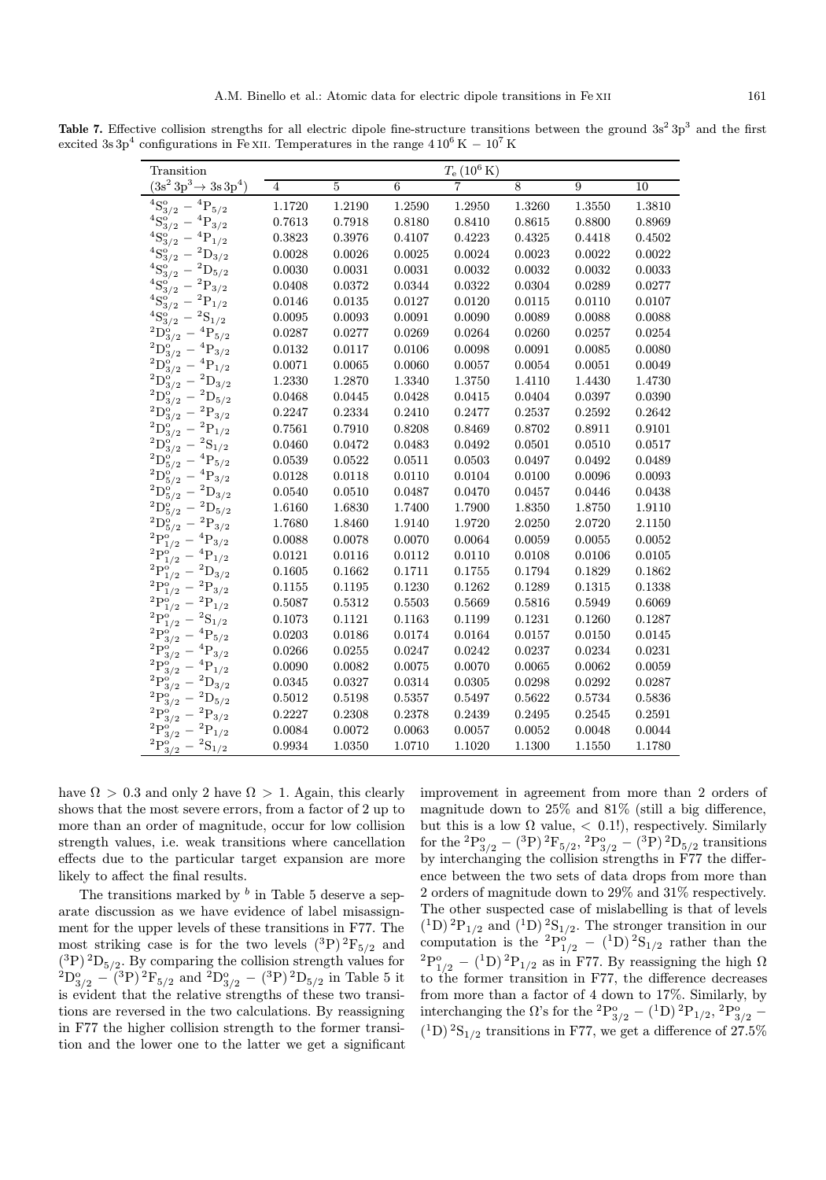|  |  |  | Table 7. Effective collision strengths for all electric dipole fine-structure transitions between the ground $3s^2 3p^3$ and the first |  |  |  |  |
|--|--|--|----------------------------------------------------------------------------------------------------------------------------------------|--|--|--|--|
|  |  |  | excited 3s $3p^4$ configurations in Fe XII. Temperatures in the range $410^6$ K $-10^7$ K                                              |  |  |  |  |

| Transition                          |        |        |        | $T_{\rm e}$ $(10^6\,{\rm K})$ |        |        |        |
|-------------------------------------|--------|--------|--------|-------------------------------|--------|--------|--------|
| $(3s^2\,3p^3 \rightarrow 3s\,3p^4)$ | 4      | 5      | 6      |                               | 8      | 9      | 10     |
| $^4S_3^o$<br>$P_{5/2}$              | 1.1720 | 1.2190 | 1.2590 | 1.2950                        | 1.3260 | 1.3550 | 1.3810 |
| 3/2                                 | 0.7613 | 0.7918 | 0.8180 | 0.8410                        | 0.8615 | 0.8800 | 0.8969 |
| 1/2                                 | 0.3823 | 0.3976 | 0.4107 | 0.4223                        | 0.4325 | 0.4418 | 0.4502 |
| ${\mathcal{Q}}_{3/2}$               | 0.0028 | 0.0026 | 0.0025 | 0.0024                        | 0.0023 | 0.0022 | 0.0022 |
| $D_{5/2}$                           | 0.0030 | 0.0031 | 0.0031 | 0.0032                        | 0.0032 | 0.0032 | 0.0033 |
| 3/2                                 | 0.0408 | 0.0372 | 0.0344 | 0.0322                        | 0.0304 | 0.0289 | 0.0277 |
| 1/2                                 | 0.0146 | 0.0135 | 0.0127 | 0.0120                        | 0.0115 | 0.0110 | 0.0107 |
| 1/2                                 | 0.0095 | 0.0093 | 0.0091 | 0.0090                        | 0.0089 | 0.0088 | 0.0088 |
| 5/2                                 | 0.0287 | 0.0277 | 0.0269 | 0.0264                        | 0.0260 | 0.0257 | 0.0254 |
| 3/2                                 | 0.0132 | 0.0117 | 0.0106 | 0.0098                        | 0.0091 | 0.0085 | 0.0080 |
| 1/2                                 | 0.0071 | 0.0065 | 0.0060 | 0.0057                        | 0.0054 | 0.0051 | 0.0049 |
| $D_{3/2}$                           | 1.2330 | 1.2870 | 1.3340 | 1.3750                        | 1.4110 | 1.4430 | 1.4730 |
| $D_{5/2}$                           | 0.0468 | 0.0445 | 0.0428 | 0.0415                        | 0.0404 | 0.0397 | 0.0390 |
| $\mathrm{P}_{\mathrm{3/2}}$         | 0.2247 | 0.2334 | 0.2410 | 0.2477                        | 0.2537 | 0.2592 | 0.2642 |
| 1/2                                 | 0.7561 | 0.7910 | 0.8208 | 0.8469                        | 0.8702 | 0.8911 | 0.9101 |
| $S_{1/2}$                           | 0.0460 | 0.0472 | 0.0483 | 0.0492                        | 0.0501 | 0.0510 | 0.0517 |
| $\mathrm{P}_{5/2}$                  | 0.0539 | 0.0522 | 0.0511 | 0.0503                        | 0.0497 | 0.0492 | 0.0489 |
| $\mathrm{P}_{3/2}$                  | 0.0128 | 0.0118 | 0.0110 | 0.0104                        | 0.0100 | 0.0096 | 0.0093 |
| $D_{3/2}$                           | 0.0540 | 0.0510 | 0.0487 | 0.0470                        | 0.0457 | 0.0446 | 0.0438 |
| $D_{5/2}$                           | 1.6160 | 1.6830 | 1.7400 | 1.7900                        | 1.8350 | 1.8750 | 1.9110 |
| $\mathrm{P}_{3/2}$                  | 1.7680 | 1.8460 | 1.9140 | 1.9720                        | 2.0250 | 2.0720 | 2.1150 |
| $\mathrm{P}_{3/2}$                  | 0.0088 | 0.0078 | 0.0070 | 0.0064                        | 0.0059 | 0.0055 | 0.0052 |
| $\rm P_{1/2}$                       | 0.0121 | 0.0116 | 0.0112 | 0.0110                        | 0.0108 | 0.0106 | 0.0105 |
| $\mathrm{D}_{3/2}$                  | 0.1605 | 0.1662 | 0.1711 | 0.1755                        | 0.1794 | 0.1829 | 0.1862 |
| $\mathrm{P}_{3/2}$                  | 0.1155 | 0.1195 | 0.1230 | 0.1262                        | 0.1289 | 0.1315 | 0.1338 |
| 1/2                                 | 0.5087 | 0.5312 | 0.5503 | 0.5669                        | 0.5816 | 0.5949 | 0.6069 |
| $\mathfrak{d}_{1/2}$                | 0.1073 | 0.1121 | 0.1163 | 0.1199                        | 0.1231 | 0.1260 | 0.1287 |
| 5/2                                 | 0.0203 | 0.0186 | 0.0174 | 0.0164                        | 0.0157 | 0.0150 | 0.0145 |
| 3/2                                 | 0.0266 | 0.0255 | 0.0247 | 0.0242                        | 0.0237 | 0.0234 | 0.0231 |
| 1/2                                 | 0.0090 | 0.0082 | 0.0075 | 0.0070                        | 0.0065 | 0.0062 | 0.0059 |
|                                     | 0.0345 | 0.0327 | 0.0314 | 0.0305                        | 0.0298 | 0.0292 | 0.0287 |
| 5/2                                 | 0.5012 | 0.5198 | 0.5357 | 0.5497                        | 0.5622 | 0.5734 | 0.5836 |
| 3/2                                 | 0.2227 | 0.2308 | 0.2378 | 0.2439                        | 0.2495 | 0.2545 | 0.2591 |
|                                     | 0.0084 | 0.0072 | 0.0063 | 0.0057                        | 0.0052 | 0.0048 | 0.0044 |
| $\mathrm{S}_{1/2}$                  | 0.9934 | 1.0350 | 1.0710 | 1.1020                        | 1.1300 | 1.1550 | 1.1780 |

have  $\Omega > 0.3$  and only 2 have  $\Omega > 1$ . Again, this clearly shows that the most severe errors, from a factor of 2 up to more than an order of magnitude, occur for low collision strength values, i.e. weak transitions where cancellation effects due to the particular target expansion are more likely to affect the final results.

The transitions marked by  $\bar{b}$  in Table 5 deserve a separate discussion as we have evidence of label misassignment for the upper levels of these transitions in F77. The most striking case is for the two levels  $({}^{3}P)$   $^{2}F_{5/2}$  and  $({}^{3}P)$  <sup>2</sup>D<sub>5/2</sub>. By comparing the collision strength values for  ${}^{2}D_{3/2}^{o}$  – (<sup>3</sup>P)<sup>2</sup>F<sub>5/2</sub> and <sup>2</sup>D<sub>3/2</sub> – (<sup>3</sup>P)<sup>2</sup>D<sub>5/2</sub> in Table 5 it is evident that the relative strengths of these two transitions are reversed in the two calculations. By reassigning in F77 the higher collision strength to the former transition and the lower one to the latter we get a significant improvement in agreement from more than 2 orders of magnitude down to 25% and 81% (still a big difference, but this is a low  $\Omega$  value,  $\langle 0.1 \rangle$ , respectively. Similarly  ${\rm for~the~^2P^o_{3/2}-(^3P)^{\,2}F_{5/2},{}^2P^o_{3/2}-(^3P)^{\,2}D_{5/2}}$  transitions by interchanging the collision strengths in F77 the difference between the two sets of data drops from more than 2 orders of magnitude down to 29% and 31% respectively. The other suspected case of mislabelling is that of levels  $({}^{1}D)$  <sup>2</sup>P<sub>1/2</sub> and  $({}^{1}D)$  <sup>2</sup>S<sub>1/2</sub>. The stronger transition in our computation is the  ${}^{2}P_{1/2}^{o} - ({}^{1}D) {}^{2}S_{1/2}$  rather than the  ${}^{2}P^{o}_{1/2}$  – (<sup>1</sup>D)<sup>2</sup> $P_{1/2}$  as in F77. By reassigning the high  $\Omega$ to the former transition in F77, the difference decreases from more than a factor of 4 down to 17%. Similarly, by interchanging the  $\Omega$ 's for the  ${}^{2}P^{o}_{3/2}$  –  $({}^{1}D)$   ${}^{2}P_{1/2}$ ,  ${}^{2}P^{o}_{3/2}$  –  $(1D)$  <sup>2</sup>S<sub>1/2</sub> transitions in F77, we get a difference of 27.5%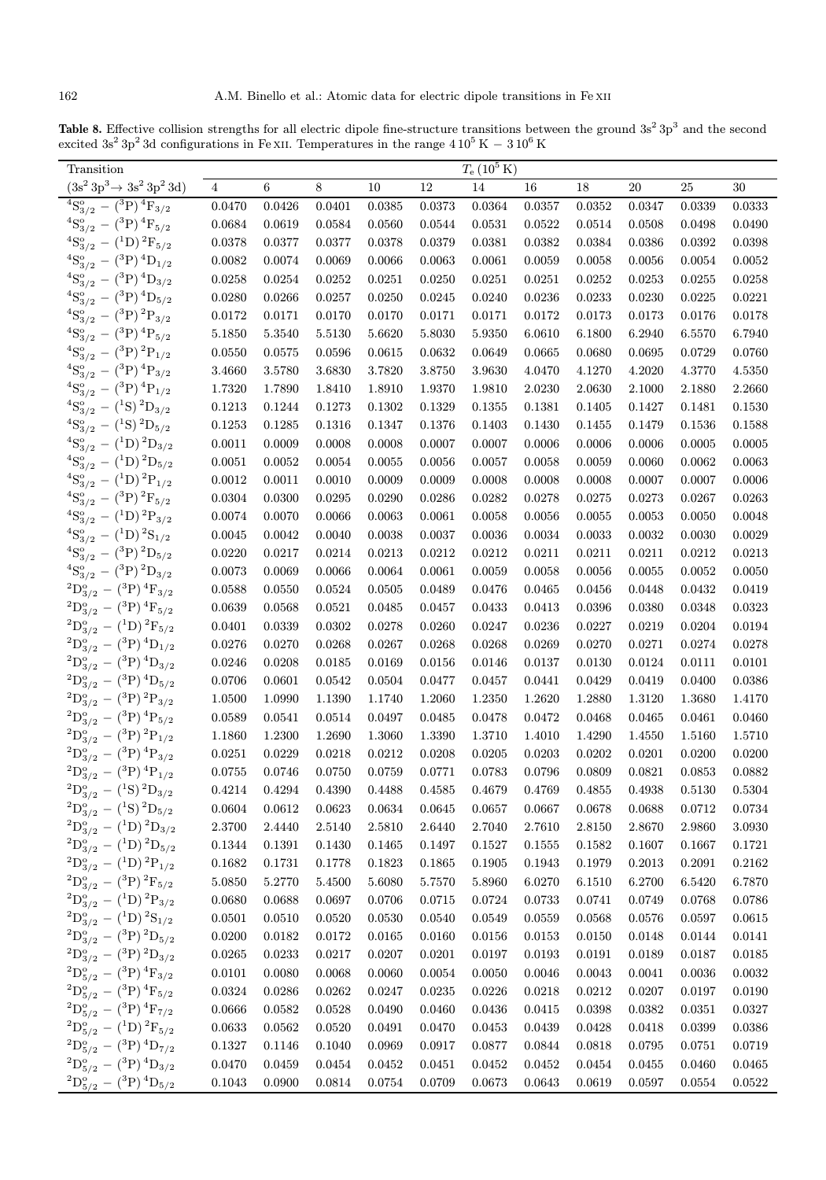Table 8. Effective collision strengths for all electric dipole fine-structure transitions between the ground  $3s^2 3p^3$  and the second excited 3s<sup>2</sup> 3p<sup>2</sup> 3d configurations in Fe XII. Temperatures in the range  $4\,10^5$  K  $-3\,10^6$  K

| Transition                                       |                |        |        |                  |        | $T_{\rm e}$ (10 <sup>5</sup> K) |        |                  |        |        |              |
|--------------------------------------------------|----------------|--------|--------|------------------|--------|---------------------------------|--------|------------------|--------|--------|--------------|
| $(3s^2 3p^3 \rightarrow 3s^2 3p^2 3d)$           | $\overline{4}$ | 6      | 8      | 10               | 12     | 14                              | 16     | 18               | 20     | 25     | 30           |
| ${}^{4}S_{3/2}^{o} - ({}^{3}P) {}^{4}F_{3/2}$    | 0.0470         | 0.0426 | 0.0401 | 0.0385           | 0.0373 | 0.0364                          | 0.0357 | 0.0352           | 0.0347 | 0.0339 | 0.0333       |
| ${}^{4}S_{3/2}^{o} - ({}^{3}P) \, {}^{4}F_{5/2}$ | 0.0684         | 0.0619 | 0.0584 | 0.0560           | 0.0544 | 0.0531                          | 0.0522 | 0.0514           | 0.0508 | 0.0498 | 0.0490       |
| ${}^{4}S_{3/2}^{o} - ({}^{1}D) {}^{2}F_{5/2}$    | 0.0378         | 0.0377 | 0.0377 | 0.0378           | 0.0379 | 0.0381                          | 0.0382 | 0.0384           | 0.0386 | 0.0392 | 0.0398       |
| ${}^{4}S_{3/2}^{o} - ({}^{3}P) {}^{4}D_{1/2}$    | 0.0082         | 0.0074 | 0.0069 | 0.0066           | 0.0063 | 0.0061                          | 0.0059 | 0.0058           | 0.0056 | 0.0054 | 0.0052       |
| ${}^{4}S_{3/2}^{o} - ({}^{3}P) {}^{4}D_{3/2}$    | 0.0258         | 0.0254 | 0.0252 | 0.0251           | 0.0250 | 0.0251                          | 0.0251 | 0.0252           | 0.0253 | 0.0255 | 0.0258       |
| ${}^{4}S_{3/2}^{o} - ({}^{3}P) {}^{4}D_{5/2}$    | 0.0280         | 0.0266 | 0.0257 | 0.0250           | 0.0245 | 0.0240                          | 0.0236 | 0.0233           | 0.0230 | 0.0225 | 0.0221       |
| ${}^{4}S_{3/2}^{o} - ({}^{3}P) {}^{2}P_{3/2}$    | 0.0172         | 0.0171 | 0.0170 | 0.0170           | 0.0171 | 0.0171                          | 0.0172 | 0.0173           | 0.0173 | 0.0176 | 0.0178       |
| ${}^{4}S_{3/2}^{o} - ({}^{3}P) \, {}^{4}P_{5/2}$ | 5.1850         | 5.3540 | 5.5130 | 5.6620           | 5.8030 | 5.9350                          | 6.0610 | 6.1800           | 6.2940 | 6.5570 | 6.7940       |
| ${}^{4}S_{3/2}^{o} - ({}^{3}P) {}^{2}P_{1/2}$    | 0.0550         | 0.0575 | 0.0596 | 0.0615           | 0.0632 | 0.0649                          | 0.0665 | 0.0680           | 0.0695 | 0.0729 | 0.0760       |
| ${}^{4}S_{3/2}^{o} - ({}^{3}P) {}^{4}P_{3/2}$    | 3.4660         | 3.5780 | 3.6830 | 3.7820           | 3.8750 | 3.9630                          | 4.0470 | 4.1270           | 4.2020 | 4.3770 | 4.5350       |
| ${}^{4}S_{3/2}^{o} - ({}^{3}P) {}^{4}P_{1/2}$    | 1.7320         | 1.7890 | 1.8410 | 1.8910           | 1.9370 | 1.9810                          | 2.0230 | 2.0630           | 2.1000 | 2.1880 | 2.2660       |
| ${}^{4}S_{3/2}^{o} - ({}^{1}S) \, {}^{2}D_{3/2}$ | 0.1213         | 0.1244 | 0.1273 | 0.1302           | 0.1329 | 0.1355                          | 0.1381 | 0.1405           | 0.1427 | 0.1481 | 0.1530       |
| ${}^{4}S_{3/2}^{o} - ({}^{1}S) {}^{2}D_{5/2}$    | 0.1253         | 0.1285 | 0.1316 | 0.1347           | 0.1376 | 0.1403                          | 0.1430 | 0.1455           | 0.1479 | 0.1536 | 0.1588       |
| ${}^{4}S_{3/2}^{o} - ({}^{1}D) {}^{2}D_{3/2}$    | 0.0011         | 0.0009 | 0.0008 | 0.0008           | 0.0007 | 0.0007                          | 0.0006 | 0.0006           | 0.0006 | 0.0005 | 0.0005       |
| ${}^{4}S_{3/2}^{o} - ({}^{1}D) {}^{2}D_{5/2}$    | 0.0051         | 0.0052 | 0.0054 | 0.0055           | 0.0056 | 0.0057                          | 0.0058 | 0.0059           | 0.0060 | 0.0062 | 0.0063       |
| ${}^{4}S_{3/2}^{o} - ({}^{1}D) {}^{2}P_{1/2}$    | 0.0012         | 0.0011 | 0.0010 | 0.0009           | 0.0009 | 0.0008                          | 0.0008 | 0.0008           | 0.0007 | 0.0007 | 0.0006       |
| ${}^{4}S_{3/2}^{o} - ({}^{3}P) {}^{2}F_{5/2}$    | 0.0304         | 0.0300 | 0.0295 | 0.0290           | 0.0286 | 0.0282                          | 0.0278 | 0.0275           | 0.0273 | 0.0267 | 0.0263       |
| ${}^{4}S_{3/2}^{o} - ({}^{1}D) {}^{2}P_{3/2}$    | 0.0074         | 0.0070 | 0.0066 | 0.0063           | 0.0061 | 0.0058                          | 0.0056 | 0.0055           | 0.0053 | 0.0050 | 0.0048       |
| ${}^{4}S_{3/2}^{o} - ({}^{1}D) {}^{2}S_{1/2}$    | 0.0045         | 0.0042 | 0.0040 | 0.0038           | 0.0037 | 0.0036                          | 0.0034 | 0.0033           | 0.0032 | 0.0030 | 0.0029       |
| ${}^{4}S_{3/2}^{o} - ({}^{3}P) {}^{2}D_{5/2}$    | 0.0220         | 0.0217 | 0.0214 | 0.0213           | 0.0212 | 0.0212                          | 0.0211 | 0.0211           | 0.0211 | 0.0212 | 0.0213       |
| ${}^{4}S_{3/2}^{o} - ({}^{3}P) {}^{2}D_{3/2}$    | 0.0073         | 0.0069 | 0.0066 | 0.0064           | 0.0061 | 0.0059                          | 0.0058 | 0.0056           | 0.0055 | 0.0052 | 0.0050       |
| $^{2}D_{3/2}^{o} - {^{3}P})$ $^{4}F_{3/2}$       | 0.0588         | 0.0550 | 0.0524 | 0.0505           | 0.0489 | 0.0476                          | 0.0465 | 0.0456           | 0.0448 | 0.0432 | 0.0419       |
| $^{2}D_{3/2}^{o} - {^{3}P})$ $^{4}F_{5/2}$       | 0.0639         | 0.0568 | 0.0521 | 0.0485           | 0.0457 | 0.0433                          | 0.0413 | 0.0396           | 0.0380 | 0.0348 | 0.0323       |
| ${}^{2}D_{3/2}^{o} - ({}^{1}D) {}^{2}F_{5/2}$    | 0.0401         | 0.0339 | 0.0302 | 0.0278           | 0.0260 | 0.0247                          | 0.0236 | 0.0227           | 0.0219 | 0.0204 | 0.0194       |
| ${}^{2}D_{3/2}^{o} - ({}^{3}P) \, {}^{4}D_{1/2}$ | 0.0276         | 0.0270 | 0.0268 | 0.0267           | 0.0268 | 0.0268                          | 0.0269 | 0.0270           | 0.0271 | 0.0274 | 0.0278       |
|                                                  |                |        |        |                  |        |                                 |        |                  |        |        |              |
| ${}^{2}D_{3/2}^{o} - ({}^{3}P) \, {}^{4}D_{3/2}$ | 0.0246         | 0.0208 | 0.0185 | 0.0169           | 0.0156 | 0.0146                          | 0.0137 | 0.0130           | 0.0124 | 0.0111 | 0.0101       |
| ${}^{2}D_{3/2}^{o} - ({}^{3}P) \, {}^{4}D_{5/2}$ | 0.0706         | 0.0601 | 0.0542 | 0.0504<br>1.1740 | 0.0477 | 0.0457                          | 0.0441 | 0.0429<br>1.2880 | 0.0419 | 0.0400 | 0.0386       |
| ${}^{2}D_{3/2}^{o} - ({}^{3}P) {}^{2}P_{3/2}$    | 1.0500         | 1.0990 | 1.1390 |                  | 1.2060 | 1.2350<br>0.0478                | 1.2620 |                  | 1.3120 | 1.3680 | 1.4170       |
| ${}^{2}D_{3/2}^{o} - ({}^{3}P) \, {}^{4}P_{5/2}$ | 0.0589         | 0.0541 | 0.0514 | 0.0497           | 0.0485 |                                 | 0.0472 | 0.0468           | 0.0465 | 0.0461 | 0.0460       |
| ${}^{2}D_{3/2}^{o} - ({}^{3}P) {}^{2}P_{1/2}$    | 1.1860         | 1.2300 | 1.2690 | 1.3060           | 1.3390 | 1.3710                          | 1.4010 | 1.4290           | 1.4550 | 1.5160 | 1.5710       |
| ${}^{2}D_{3/2}^{o} - ({}^{3}P) \, {}^{4}P_{3/2}$ | 0.0251         | 0.0229 | 0.0218 | 0.0212           | 0.0208 | 0.0205                          | 0.0203 | 0.0202           | 0.0201 | 0.0200 | 0.0200       |
| ${}^{2}D_{3/2}^{o} - ({}^{3}P) \, {}^{4}P_{1/2}$ | 0.0755         | 0.0746 | 0.0750 | 0.0759           | 0.0771 | 0.0783                          | 0.0796 | 0.0809           | 0.0821 | 0.0853 | 0.0882       |
| $^{2}D_{3/2}^{o} - {^{1}S})^{2}D_{3/2}$          | 0.4214         | 0.4294 | 0.4390 | 0.4488           | 0.4585 | 0.4679                          | 0.4769 | 0.4855           | 0.4938 | 0.5130 | $\,0.5304\,$ |
| $^{2}D_{3/2}^{o} - {^{1}S})^{2}D_{5/2}$          | 0.0604         | 0.0612 | 0.0623 | 0.0634           | 0.0645 | 0.0657                          | 0.0667 | 0.0678           | 0.0688 | 0.0712 | 0.0734       |
| ${}^{2}D_{3/2}^{o} - ({}^{1}D) {}^{2}D_{3/2}$    | 2.3700         | 2.4440 | 2.5140 | 2.5810           | 2.6440 | 2.7040                          | 2.7610 | 2.8150           | 2.8670 | 2.9860 | 3.0930       |
| ${}^{2}D_{3/2}^{o} - ({}^{1}D) {}^{2}D_{5/2}$    | 0.1344         | 0.1391 | 0.1430 | 0.1465           | 0.1497 | 0.1527                          | 0.1555 | 0.1582           | 0.1607 | 0.1667 | 0.1721       |
| ${}^{2}D_{3/2}^{o} - ({}^{1}D) {}^{2}P_{1/2}$    | 0.1682         | 0.1731 | 0.1778 | 0.1823           | 0.1865 | 0.1905                          | 0.1943 | 0.1979           | 0.2013 | 0.2091 | 0.2162       |
| ${}^{2}D_{3/2}^{o} - ({}^{3}P) {}^{2}F_{5/2}$    | 5.0850         | 5.2770 | 5.4500 | 5.6080           | 5.7570 | 5.8960                          | 6.0270 | 6.1510           | 6.2700 | 6.5420 | 6.7870       |
| ${}^{2}D_{3/2}^{o} - ({}^{1}D) {}^{2}P_{3/2}$    | 0.0680         | 0.0688 | 0.0697 | 0.0706           | 0.0715 | 0.0724                          | 0.0733 | 0.0741           | 0.0749 | 0.0768 | 0.0786       |
| ${}^{2}D_{3/2}^{o} - ({}^{1}D) {}^{2}S_{1/2}$    | 0.0501         | 0.0510 | 0.0520 | 0.0530           | 0.0540 | 0.0549                          | 0.0559 | 0.0568           | 0.0576 | 0.0597 | 0.0615       |
| ${}^{2}D_{3/2}^{o} - ({}^{3}P) {}^{2}D_{5/2}$    | 0.0200         | 0.0182 | 0.0172 | 0.0165           | 0.0160 | 0.0156                          | 0.0153 | 0.0150           | 0.0148 | 0.0144 | 0.0141       |
| ${}^{2}D_{3/2}^{o} - ({}^{3}P) {}^{2}D_{3/2}$    | 0.0265         | 0.0233 | 0.0217 | 0.0207           | 0.0201 | 0.0197                          | 0.0193 | 0.0191           | 0.0189 | 0.0187 | 0.0185       |
| ${}^{2}D_{5/2}^{o} - ({}^{3}P) \, {}^{4}F_{3/2}$ | 0.0101         | 0.0080 | 0.0068 | 0.0060           | 0.0054 | 0.0050                          | 0.0046 | 0.0043           | 0.0041 | 0.0036 | 0.0032       |
| ${}^{2}D_{5/2}^{o} - ({}^{3}P) \, {}^{4}F_{5/2}$ | 0.0324         | 0.0286 | 0.0262 | 0.0247           | 0.0235 | 0.0226                          | 0.0218 | 0.0212           | 0.0207 | 0.0197 | 0.0190       |
| $^{2}D_{5/2}^{o} - {^{3}P})$ $^{4}F_{7/2}$       | 0.0666         | 0.0582 | 0.0528 | 0.0490           | 0.0460 | 0.0436                          | 0.0415 | 0.0398           | 0.0382 | 0.0351 | 0.0327       |
| $^{2}D_{5/2}^{o} - {^{1}D})^{2}F_{5/2}$          | 0.0633         | 0.0562 | 0.0520 | 0.0491           | 0.0470 | 0.0453                          | 0.0439 | 0.0428           | 0.0418 | 0.0399 | 0.0386       |
| ${}^{2}D_{5/2}^{o} - ({}^{3}P) \, {}^{4}D_{7/2}$ | 0.1327         | 0.1146 | 0.1040 | 0.0969           | 0.0917 | 0.0877                          | 0.0844 | 0.0818           | 0.0795 | 0.0751 | 0.0719       |
| $^{2}D_{5/2}^{o} - {^{3}P})^{4}D_{3/2}$          | 0.0470         | 0.0459 | 0.0454 | 0.0452           | 0.0451 | 0.0452                          | 0.0452 | 0.0454           | 0.0455 | 0.0460 | 0.0465       |
| ${}^{2}D_{5/2}^{o} - ({}^{3}P) \, {}^{4}D_{5/2}$ | 0.1043         | 0.0900 | 0.0814 | 0.0754           | 0.0709 | 0.0673                          | 0.0643 | 0.0619           | 0.0597 | 0.0554 | 0.0522       |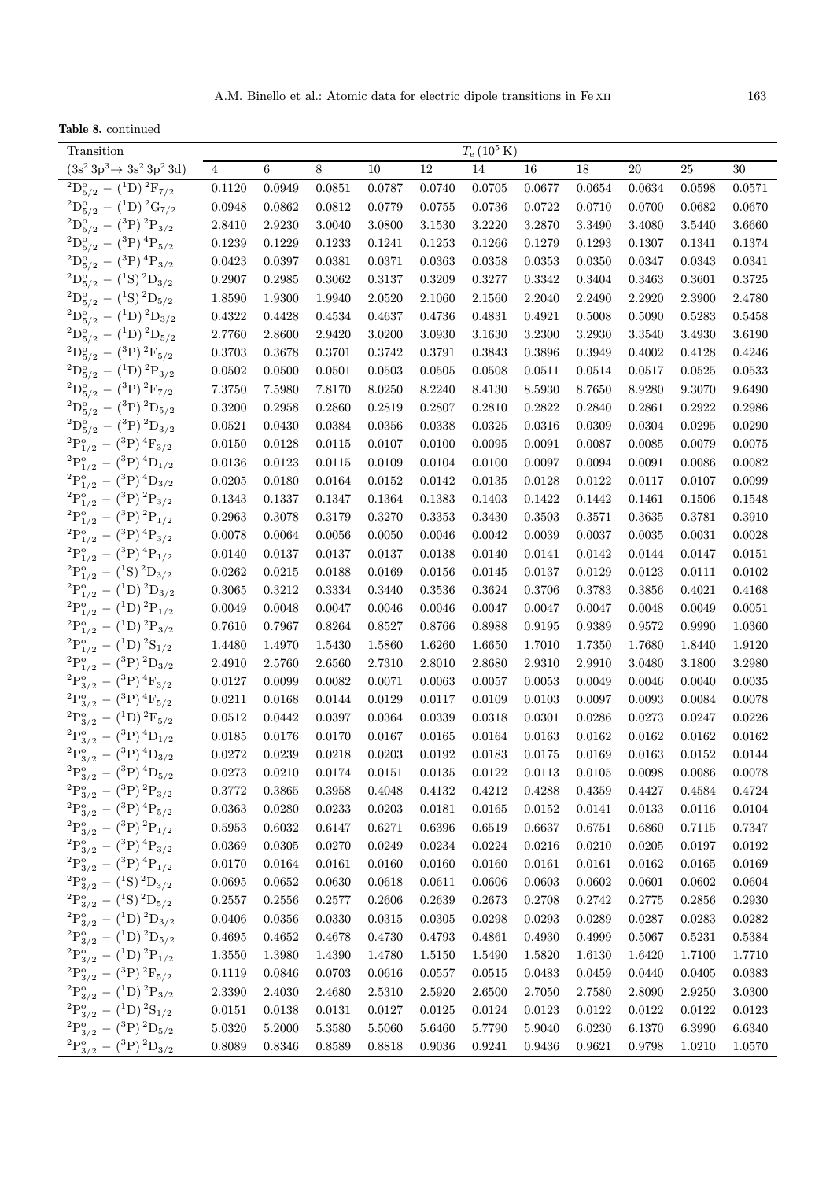Table 8. continued

| Transition                                                                     |                |        |        |        |        | $T_{\rm e}$ (10 <sup>5</sup> K) |        |        |        |        |                |
|--------------------------------------------------------------------------------|----------------|--------|--------|--------|--------|---------------------------------|--------|--------|--------|--------|----------------|
| $(3s^2\,3p^3 \rightarrow 3s^2\,3p^2\,3d)$                                      | $\overline{4}$ | 6      | 8      | 10     | 12     | 14                              | 16     | 18     | 20     | 25     | 30             |
| ${}^{2}D_{5/2}^{o} - ({}^{1}D) {}^{2}F_{7/2}$                                  | 0.1120         | 0.0949 | 0.0851 | 0.0787 | 0.0740 | 0.0705                          | 0.0677 | 0.0654 | 0.0634 | 0.0598 | 0.0571         |
| ${}^{2}D_{5/2}^{o} - ({}^{1}D) {}^{2}G_{7/2}$                                  | 0.0948         | 0.0862 | 0.0812 | 0.0779 | 0.0755 | 0.0736                          | 0.0722 | 0.0710 | 0.0700 | 0.0682 | 0.0670         |
| ${}^{2}D_{5/2}^{o} - ({}^{3}P) {}^{2}P_{3/2}$                                  | 2.8410         | 2.9230 | 3.0040 | 3.0800 | 3.1530 | 3.2220                          | 3.2870 | 3.3490 | 3.4080 | 3.5440 | 3.6660         |
| $^{2}D_{5/2}^{o} - {^{3}P}) \,^{4}P_{5/2}$                                     | 0.1239         | 0.1229 | 0.1233 | 0.1241 | 0.1253 | 0.1266                          | 0.1279 | 0.1293 | 0.1307 | 0.1341 | 0.1374         |
| $^{2}D_{5/2}^{o} - {^{(3}P)}_{2}^{4}P_{3/2}$                                   | 0.0423         | 0.0397 | 0.0381 | 0.0371 | 0.0363 | 0.0358                          | 0.0353 | 0.0350 | 0.0347 | 0.0343 | 0.0341         |
| ${}^{2}D_{5/2}^{o} - ({}^{1}S) {}^{2}D_{3/2}$                                  | 0.2907         | 0.2985 | 0.3062 | 0.3137 | 0.3209 | 0.3277                          | 0.3342 | 0.3404 | 0.3463 | 0.3601 | 0.3725         |
| ${}^{2}D_{5/2}^{o} - ({}^{1}S) {}^{2}D_{5/2}$                                  | 1.8590         | 1.9300 | 1.9940 | 2.0520 | 2.1060 | 2.1560                          | 2.2040 | 2.2490 | 2.2920 | 2.3900 | 2.4780         |
| ${}^{2}D_{5/2}^{o} - ({}^{1}D) {}^{2}D_{3/2}$                                  | 0.4322         | 0.4428 | 0.4534 | 0.4637 | 0.4736 | 0.4831                          | 0.4921 | 0.5008 | 0.5090 | 0.5283 | 0.5458         |
| ${}^{2}D_{5/2}^{o} - ({}^{1}D) {}^{2}D_{5/2}$                                  | 2.7760         | 2.8600 | 2.9420 | 3.0200 | 3.0930 | 3.1630                          | 3.2300 | 3.2930 | 3.3540 | 3.4930 | 3.6190         |
| ${}^{2}D_{5/2}^{o} - ({}^{3}P) \, {}^{2}F_{5/2}$                               | 0.3703         | 0.3678 | 0.3701 | 0.3742 | 0.3791 | 0.3843                          | 0.3896 | 0.3949 | 0.4002 | 0.4128 | 0.4246         |
| ${}^{2}D_{5/2}^{o} - ({}^{1}D) {}^{2}P_{3/2}$                                  | 0.0502         | 0.0500 | 0.0501 | 0.0503 | 0.0505 | 0.0508                          | 0.0511 | 0.0514 | 0.0517 | 0.0525 | 0.0533         |
| ${}^{2}D_{5/2}^{o} - ({}^{3}P) {}^{2}F_{7/2}$                                  | 7.3750         | 7.5980 | 7.8170 | 8.0250 | 8.2240 | 8.4130                          | 8.5930 | 8.7650 | 8.9280 | 9.3070 | 9.6490         |
| ${}^{2}D_{5/2}^{o} - ({}^{3}P) \, {}^{2}D_{5/2}$                               | 0.3200         | 0.2958 | 0.2860 | 0.2819 | 0.2807 | 0.2810                          | 0.2822 | 0.2840 | 0.2861 | 0.2922 | 0.2986         |
| ${}^{2}D_{5/2}^{o} - ({}^{3}P) {}^{2}D_{3/2}$                                  | 0.0521         | 0.0430 | 0.0384 | 0.0356 | 0.0338 | 0.0325                          | 0.0316 | 0.0309 | 0.0304 | 0.0295 | 0.0290         |
| ${}^{2}P^{o}_{1/2} - ({}^{3}P) \, {}^{4}F_{3/2}$                               | 0.0150         | 0.0128 | 0.0115 | 0.0107 | 0.0100 | 0.0095                          | 0.0091 | 0.0087 | 0.0085 | 0.0079 | 0.0075         |
| ${}^{2}P^{o}_{1/2} - ({}^{3}P) \, {}^{4}D_{1/2}$                               | 0.0136         | 0.0123 | 0.0115 | 0.0109 | 0.0104 | 0.0100                          | 0.0097 | 0.0094 | 0.0091 | 0.0086 | 0.0082         |
| ${}^{2}P^{o}_{1/2} - ({}^{3}P) \, {}^{4}D_{3/2}$                               | 0.0205         | 0.0180 | 0.0164 | 0.0152 | 0.0142 | 0.0135                          | 0.0128 | 0.0122 | 0.0117 | 0.0107 | 0.0099         |
| ${}^{2}P^{o}_{1/2} - ({}^{3}P) {}^{2}P_{3/2}$                                  | 0.1343         | 0.1337 | 0.1347 | 0.1364 | 0.1383 | 0.1403                          | 0.1422 | 0.1442 | 0.1461 | 0.1506 | 0.1548         |
| ${}^{2}P^{o}_{1/2} - ({}^{3}P) {}^{2}P_{1/2}$                                  | 0.2963         | 0.3078 | 0.3179 | 0.3270 | 0.3353 | 0.3430                          | 0.3503 | 0.3571 | 0.3635 | 0.3781 | 0.3910         |
| ${}^{2}P^{o}_{1/2} - ({}^{3}P)^{4}P_{3/2}$                                     | 0.0078         | 0.0064 | 0.0056 | 0.0050 | 0.0046 | 0.0042                          | 0.0039 | 0.0037 | 0.0035 | 0.0031 | 0.0028         |
| ${}^{2}P^{o}_{1/2} - ({}^{3}P) \, {}^{4}P_{1/2}$                               | 0.0140         | 0.0137 | 0.0137 | 0.0137 | 0.0138 | 0.0140                          | 0.0141 | 0.0142 | 0.0144 | 0.0147 | 0.0151         |
| ${}^{2}P^{o}_{1/2} - ({}^{1}S) {}^{2}D_{3/2}$                                  | 0.0262         | 0.0215 | 0.0188 | 0.0169 | 0.0156 | 0.0145                          | 0.0137 | 0.0129 | 0.0123 | 0.0111 | 0.0102         |
| ${}^{2}P^{o}_{1/2} - ({}^{1}D) {}^{2}D_{3/2}$                                  | 0.3065         | 0.3212 | 0.3334 | 0.3440 | 0.3536 | 0.3624                          | 0.3706 | 0.3783 | 0.3856 | 0.4021 | 0.4168         |
| ${}^{2}P^{o}_{1/2} - ({}^{1}D) {}^{2}P_{1/2}$                                  | 0.0049         | 0.0048 | 0.0047 | 0.0046 | 0.0046 | 0.0047                          | 0.0047 | 0.0047 | 0.0048 | 0.0049 | 0.0051         |
| ${}^{2}P^{o}_{1/2} - ({}^{1}D) {}^{2}P_{3/2}$                                  | 0.7610         | 0.7967 | 0.8264 | 0.8527 | 0.8766 | 0.8988                          | 0.9195 | 0.9389 | 0.9572 | 0.9990 | 1.0360         |
| ${}^{2}P^{o}_{1/2} - ({}^{1}D) {}^{2}S_{1/2}$                                  | 1.4480         | 1.4970 | 1.5430 | 1.5860 | 1.6260 | 1.6650                          | 1.7010 | 1.7350 | 1.7680 | 1.8440 | 1.9120         |
| ${}^{2}P^{o}_{1/2} - ({}^{3}P) {}^{2}D_{3/2}$                                  | 2.4910         | 2.5760 | 2.6560 | 2.7310 | 2.8010 | 2.8680                          | 2.9310 | 2.9910 | 3.0480 | 3.1800 | 3.2980         |
| ${}^{2}P_{3/2}^{o} - ({}^{3}P) \, {}^{4}F_{3/2}$                               | 0.0127         | 0.0099 | 0.0082 | 0.0071 | 0.0063 | 0.0057                          | 0.0053 | 0.0049 | 0.0046 | 0.0040 | 0.0035         |
| $^{2}P_{3/2}^{o} - {^{3}P})$ $^{4}F_{5/2}$                                     | 0.0211         | 0.0168 | 0.0144 | 0.0129 | 0.0117 | 0.0109                          | 0.0103 | 0.0097 | 0.0093 | 0.0084 | 0.0078         |
| ${}^{2}P_{3/2}^{o} - ({}^{1}D) {}^{2}F_{5/2}$                                  | $\,0.0512\,$   | 0.0442 | 0.0397 | 0.0364 | 0.0339 | 0.0318                          | 0.0301 | 0.0286 | 0.0273 | 0.0247 | 0.0226         |
| ${}^{2}P_{3/2}^{o} - ({}^{3}P) \, {}^{4}D_{1/2}$                               | 0.0185         | 0.0176 | 0.0170 | 0.0167 | 0.0165 | 0.0164                          | 0.0163 | 0.0162 | 0.0162 | 0.0162 | 0.0162         |
| ${}^{2}P^{o}_{3/2} - ({}^{3}P) \, {}^{4}D_{3/2}$                               | 0.0272         | 0.0239 | 0.0218 | 0.0203 | 0.0192 | 0.0183                          | 0.0175 | 0.0169 | 0.0163 | 0.0152 | 0.0144         |
| ${}^{2}P^{o}_{3/2} - ({}^{3}P) \, {}^{4}D_{5/2}$                               | 0.0273         | 0.0210 | 0.0174 | 0.0151 | 0.0135 | 0.0122                          | 0.0113 | 0.0105 | 0.0098 | 0.0086 | 0.0078         |
| $^{2}P_{3/2}^{o} - {^{3}P})^{2}P_{3/2}$                                        | 0.3772         | 0.3865 | 0.3958 | 0.4048 | 0.4132 | 0.4212                          | 0.4288 | 0.4359 | 0.4427 | 0.4584 | 0.4724         |
| ${}^{2}P^{o}_{3/2} - ({}^{3}P) \, {}^{4}P_{5/2}$                               | 0.0363         | 0.0280 | 0.0233 | 0.0203 | 0.0181 | 0.0165                          | 0.0152 | 0.0141 | 0.0133 | 0.0116 | 0.0104         |
| ${}^{2}P^{o}_{3/2} - ({}^{3}P) {}^{2}P_{1/2}$                                  | 0.5953         | 0.6032 | 0.6147 | 0.6271 | 0.6396 | 0.6519                          | 0.6637 | 0.6751 | 0.6860 | 0.7115 | 0.7347         |
| ${}^{2}P_{3/2}^{o} - ({}^{3}P) \, {}^{4}P_{3/2}$                               | 0.0369         | 0.0305 | 0.0270 | 0.0249 | 0.0234 | 0.0224                          | 0.0216 | 0.0210 | 0.0205 | 0.0197 | 0.0192         |
| ${}^{2}P_{3/2}^{o} - ({}^{3}P) \, {}^{4}P_{1/2}$                               | 0.0170         | 0.0164 | 0.0161 | 0.0160 | 0.0160 | 0.0160                          | 0.0161 | 0.0161 | 0.0162 | 0.0165 | 0.0169         |
| ${}^{2}P_{3/2}^{o} - ({}^{1}S) {}^{2}D_{3/2}$                                  | 0.0695         | 0.0652 | 0.0630 | 0.0618 | 0.0611 | 0.0606                          | 0.0603 | 0.0602 | 0.0601 | 0.0602 | 0.0604         |
| ${}^{2}P_{3/2}^{9} - ({}^{1}S) {}^{2}D_{5/2}$                                  | 0.2557         | 0.2556 | 0.2577 | 0.2606 | 0.2639 | 0.2673                          | 0.2708 | 0.2742 | 0.2775 | 0.2856 | 0.2930         |
| ${}^{2}P_{3/2}^{o} - ({}^{1}D) {}^{2}D_{3/2}$                                  | 0.0406         | 0.0356 | 0.0330 | 0.0315 | 0.0305 | 0.0298                          | 0.0293 | 0.0289 | 0.0287 | 0.0283 | 0.0282         |
| ${}^{2}P_{3/2}^{o} - ({}^{1}D) {}^{2}D_{5/2}$                                  | 0.4695         | 0.4652 | 0.4678 | 0.4730 | 0.4793 | 0.4861                          | 0.4930 | 0.4999 | 0.5067 | 0.5231 | $\, 0.5384 \,$ |
| ${}^{2}P_{3/2}^{o} - ({}^{1}D) {}^{2}P_{1/2}$                                  | 1.3550         | 1.3980 | 1.4390 | 1.4780 | 1.5150 | 1.5490                          | 1.5820 | 1.6130 | 1.6420 | 1.7100 | 1.7710         |
| $^2\mathrm{P}_{3/2}^{\mathrm{o}} \, - \, (^3\mathrm{P}) \, ^2\mathrm{F}_{5/2}$ | 0.1119         | 0.0846 | 0.0703 | 0.0616 | 0.0557 | 0.0515                          | 0.0483 | 0.0459 | 0.0440 | 0.0405 | 0.0383         |
| ${}^{2}P_{3/2}^{o} - ({}^{1}D) {}^{2}P_{3/2}$                                  | 2.3390         | 2.4030 | 2.4680 | 2.5310 | 2.5920 | 2.6500                          | 2.7050 | 2.7580 | 2.8090 | 2.9250 | 3.0300         |
| ${}^{2}P_{3/2}^{o} - ({}^{1}D) {}^{2}S_{1/2}$                                  | 0.0151         | 0.0138 | 0.0131 | 0.0127 | 0.0125 | 0.0124                          | 0.0123 | 0.0122 | 0.0122 | 0.0122 | 0.0123         |
| ${}^{2}P_{3/2}^{o} - ({}^{3}P){}^{2}D_{5/2}$                                   | 5.0320         | 5.2000 | 5.3580 | 5.5060 | 5.6460 | 5.7790                          | 5.9040 | 6.0230 | 6.1370 | 6.3990 | 6.6340         |
| ${}^{2}P_{3/2}^{o} - ({}^{3}P) {}^{2}D_{3/2}$                                  | 0.8089         | 0.8346 | 0.8589 | 0.8818 | 0.9036 | 0.9241                          | 0.9436 | 0.9621 | 0.9798 | 1.0210 | 1.0570         |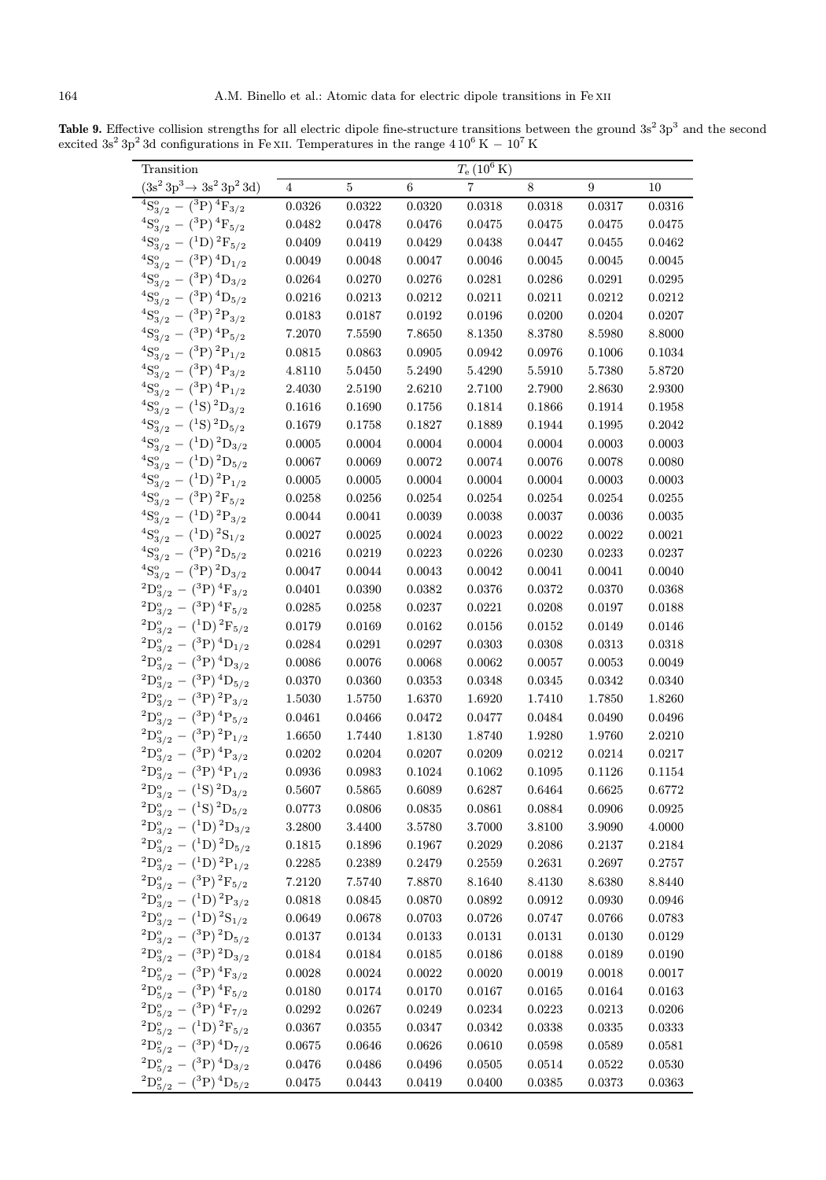Table 9. Effective collision strengths for all electric dipole fine-structure transitions between the ground  $3s^2 3p^3$  and the second excited 3s<sup>2</sup> 3p<sup>2</sup> 3d configurations in Fe xII. Temperatures in the range  $410^6$  K  $-10^7$  K

| Transition                                       |                |        |        | $T_{\rm e}$ (10 <sup>6</sup> K) |        |        |        |
|--------------------------------------------------|----------------|--------|--------|---------------------------------|--------|--------|--------|
| $(3s^2\,3p^3 \rightarrow 3s^2\,3p^2\,3d)$        | 4              | 5      | 6      | 7                               | 8      | 9      | 10     |
| ${}^{4}S_{3/2}^{o} - ({}^{3}P) \, {}^{4}F_{3/2}$ | 0.0326         | 0.0322 | 0.0320 | 0.0318                          | 0.0318 | 0.0317 | 0.0316 |
| ${}^{4}S_{3/2}^{9} - ({}^{3}P) \, {}^{4}F_{5/2}$ | 0.0482         | 0.0478 | 0.0476 | 0.0475                          | 0.0475 | 0.0475 | 0.0475 |
| ${}^{4}S_{3/2}^{9} - ({}^{1}D) {}^{2}F_{5/2}$    | 0.0409         | 0.0419 | 0.0429 | 0.0438                          | 0.0447 | 0.0455 | 0.0462 |
| ${}^{4}S_{3/2}^{o} - ({}^{3}P) {}^{4}D_{1/2}$    | 0.0049         | 0.0048 | 0.0047 | 0.0046                          | 0.0045 | 0.0045 | 0.0045 |
| ${}^{4}S_{3/2}^{o} - ({}^{3}P) {}^{4}D_{3/2}$    | 0.0264         | 0.0270 | 0.0276 | 0.0281                          | 0.0286 | 0.0291 | 0.0295 |
| ${}^{4}S_{3/2}^{o} - ({}^{3}P) {}^{4}D_{5/2}$    | ${0.0216}$     | 0.0213 | 0.0212 | 0.0211                          | 0.0211 | 0.0212 | 0.0212 |
| ${}^{4}S_{3/2}^{9} - ({}^{3}P) {}^{2}P_{3/2}$    | 0.0183         | 0.0187 | 0.0192 | 0.0196                          | 0.0200 | 0.0204 | 0.0207 |
| ${}^{4}S_{3/2}^{o} - ({}^{3}P){}^{4}P_{5/2}$     | 7.2070         | 7.5590 | 7.8650 | 8.1350                          | 8.3780 | 8.5980 | 8.8000 |
| ${}^{4}S_{3/2}^{o} - ({}^{3}P) {}^{2}P_{1/2}$    | 0.0815         | 0.0863 | 0.0905 | 0.0942                          | 0.0976 | 0.1006 | 0.1034 |
| ${}^{4}S_{3/2}^{o} - ({}^{3}P) {}^{4}P_{3/2}$    | 4.8110         | 5.0450 | 5.2490 | 5.4290                          | 5.5910 | 5.7380 | 5.8720 |
| ${}^{4}S_{3/2}^{o} - ({}^{3}P) \, {}^{4}P_{1/2}$ | 2.4030         | 2.5190 | 2.6210 | 2.7100                          | 2.7900 | 2.8630 | 2.9300 |
| ${}^{4}S_{3/2}^{9} - ({}^{1}S) {}^{2}D_{3/2}$    | 0.1616         | 0.1690 | 0.1756 | 0.1814                          | 0.1866 | 0.1914 | 0.1958 |
| ${}^{4}S_{3/2}^{9} - ({}^{1}S) {}^{2}D_{5/2}$    | 0.1679         | 0.1758 | 0.1827 | 0.1889                          | 0.1944 | 0.1995 | 0.2042 |
| ${}^{4}S_{3/2}^{o} - ({}^{1}D) {}^{2}D_{3/2}$    | 0.0005         | 0.0004 | 0.0004 | 0.0004                          | 0.0004 | 0.0003 | 0.0003 |
| ${}^{4}S_{3/2}^{o} - ({}^{1}D) {}^{2}D_{5/2}$    | 0.0067         | 0.0069 | 0.0072 | 0.0074                          | 0.0076 | 0.0078 | 0.0080 |
| ${}^{4}S_{3/2}^{o} - ({}^{1}D) {}^{2}P_{1/2}$    | 0.0005         | 0.0005 | 0.0004 | 0.0004                          | 0.0004 | 0.0003 | 0.0003 |
| ${}^{4}S_{3/2}^{9} - ({}^{3}P) {}^{2}F_{5/2}$    | 0.0258         | 0.0256 | 0.0254 | 0.0254                          | 0.0254 | 0.0254 | 0.0255 |
| ${}^{4}S_{3/2}^{9} - ({}^{1}D) {}^{2}P_{3/2}$    | 0.0044         | 0.0041 | 0.0039 | 0.0038                          | 0.0037 | 0.0036 | 0.0035 |
| ${}^{4}S_{3/2}^{o} - ({}^{1}D) {}^{2}S_{1/2}$    | 0.0027         | 0.0025 | 0.0024 | 0.0023                          | 0.0022 | 0.0022 | 0.0021 |
| ${}^{4}S_{3/2}^{o} - ({}^{3}P) {}^{2}D_{5/2}$    | 0.0216         | 0.0219 | 0.0223 | 0.0226                          | 0.0230 | 0.0233 | 0.0237 |
| ${}^{4}S_{3/2}^{o} - ({}^{3}P) {}^{2}D_{3/2}$    | 0.0047         | 0.0044 | 0.0043 | 0.0042                          | 0.0041 | 0.0041 | 0.0040 |
| ${}^{2}D_{3/2}^{o} - ({}^{3}P) \, {}^{4}F_{3/2}$ | 0.0401         | 0.0390 | 0.0382 | 0.0376                          | 0.0372 | 0.0370 | 0.0368 |
| $^{2}D_{3/2}^{o} - {^{3}P})$ $^{4}F_{5/2}$       | 0.0285         | 0.0258 | 0.0237 | 0.0221                          | 0.0208 | 0.0197 | 0.0188 |
| $^{2}D_{3/2}^{o} - {^{1}D})^{2}F_{5/2}$          | 0.0179         | 0.0169 | 0.0162 | 0.0156                          | 0.0152 | 0.0149 | 0.0146 |
| ${}^{2}D_{3/2}^{o} - ({}^{3}P) \, {}^{4}D_{1/2}$ | 0.0284         | 0.0291 | 0.0297 | 0.0303                          | 0.0308 | 0.0313 | 0.0318 |
| ${}^{2}D_{3/2}^{o} - ({}^{3}P) \, {}^{4}D_{3/2}$ | $\, 0.0086 \,$ | 0.0076 | 0.0068 | 0.0062                          | 0.0057 | 0.0053 | 0.0049 |
| ${}^{2}D_{3/2}^{o} - ({}^{3}P) \, {}^{4}D_{5/2}$ | 0.0370         | 0.0360 | 0.0353 | 0.0348                          | 0.0345 | 0.0342 | 0.0340 |
| $^{2}D_{3/2}^{o} - {^{3}P})^{2}P_{3/2}$          | 1.5030         | 1.5750 | 1.6370 | 1.6920                          | 1.7410 | 1.7850 | 1.8260 |
| ${}^{2}D_{3/2}^{o} - ({}^{3}P){}^{4}P_{5/2}$     | 0.0461         | 0.0466 | 0.0472 | 0.0477                          | 0.0484 | 0.0490 | 0.0496 |
| ${}^{2}D_{3/2}^{o} - ({}^{3}P) {}^{2}P_{1/2}$    | 1.6650         | 1.7440 | 1.8130 | 1.8740                          | 1.9280 | 1.9760 | 2.0210 |
| $^{2}D_{3/2}^{o} - {^{3}P})$ $^{4}P_{3/2}$       | 0.0202         | 0.0204 | 0.0207 | 0.0209                          | 0.0212 | 0.0214 | 0.0217 |
| $^{2}D_{3/2}^{o} - {^{3}P})^{4}P_{1/2}$          | 0.0936         | 0.0983 | 0.1024 | 0.1062                          | 0.1095 | 0.1126 | 0.1154 |
| ${}^{2}D_{3/2}^{o} - ({}^{1}S) {}^{2}D_{3/2}$    | 0.5607         | 0.5865 | 0.6089 | 0.6287                          | 0.6464 | 0.6625 | 0.6772 |
| ${}^{2}D_{3/2}^{o} - ({}^{1}S) {}^{2}D_{5/2}$    | 0.0773         | 0.0806 | 0.0835 | 0.0861                          | 0.0884 | 0.0906 | 0.0925 |
| ${}^{2}D_{3/2}^{o} - ({}^{1}D) {}^{2}D_{3/2}$    | 3.2800         | 3.4400 | 3.5780 | 3.7000                          | 3.8100 | 3.9090 | 4.0000 |
| ${}^{2}D_{3/2}^{o} - ({}^{1}D) {}^{2}D_{5/2}$    | 0.1815         | 0.1896 | 0.1967 | 0.2029                          | 0.2086 | 0.2137 | 0.2184 |
| ${}^{2}D_{3/2}^{o} - ({}^{1}D) {}^{2}P_{1/2}$    | 0.2285         | 0.2389 | 0.2479 | 0.2559                          | 0.2631 | 0.2697 | 0.2757 |
| ${}^{2}D_{3/2}^{o} - ({}^{3}P) {}^{2}F_{5/2}$    | 7.2120         | 7.5740 | 7.8870 | 8.1640                          | 8.4130 | 8.6380 | 8.8440 |
| ${}^{2}D_{3/2}^{o} - ({}^{1}D) {}^{2}P_{3/2}$    | 0.0818         | 0.0845 | 0.0870 | 0.0892                          | 0.0912 | 0.0930 | 0.0946 |
| ${}^{2}D_{3/2}^{o} - ({}^{1}D) {}^{2}S_{1/2}$    | 0.0649         | 0.0678 | 0.0703 | 0.0726                          | 0.0747 | 0.0766 | 0.0783 |
| ${}^{2}D_{3/2}^{o} - ({}^{3}P) \, {}^{2}D_{5/2}$ | 0.0137         | 0.0134 | 0.0133 | 0.0131                          | 0.0131 | 0.0130 | 0.0129 |
| ${}^{2}D_{3/2}^{o} - ({}^{3}P) \, {}^{2}D_{3/2}$ | 0.0184         | 0.0184 | 0.0185 | 0.0186                          | 0.0188 | 0.0189 | 0.0190 |
| ${}^{2}D_{5/2}^{o} - ({}^{3}P) \, {}^{4}F_{3/2}$ | 0.0028         | 0.0024 | 0.0022 | 0.0020                          | 0.0019 | 0.0018 | 0.0017 |
| ${}^{2}D_{5/2}^{o} - ({}^{3}P) \, {}^{4}F_{5/2}$ | 0.0180         | 0.0174 | 0.0170 | 0.0167                          | 0.0165 | 0.0164 | 0.0163 |
| $^{2}D_{5/2}^{o} - {^{3}P})$ $^{4}F_{7/2}$       | 0.0292         | 0.0267 | 0.0249 | 0.0234                          | 0.0223 | 0.0213 | 0.0206 |
| $^{2}D_{5/2}^{o} - {^{1}D})^{2}F_{5/2}$          | 0.0367         | 0.0355 | 0.0347 | 0.0342                          | 0.0338 | 0.0335 | 0.0333 |
| ${}^{2}D_{5/2}^{o} - ({}^{3}P) \, {}^{4}D_{7/2}$ | 0.0675         | 0.0646 | 0.0626 | 0.0610                          | 0.0598 | 0.0589 | 0.0581 |
| ${}^{2}D_{5/2}^{o} - ({}^{3}P) \, {}^{4}D_{3/2}$ | 0.0476         | 0.0486 | 0.0496 | 0.0505                          | 0.0514 | 0.0522 | 0.0530 |
| ${}^{2}D_{5/2}^{o} - ({}^{3}P) \, {}^{4}D_{5/2}$ | 0.0475         | 0.0443 | 0.0419 | 0.0400                          | 0.0385 | 0.0373 | 0.0363 |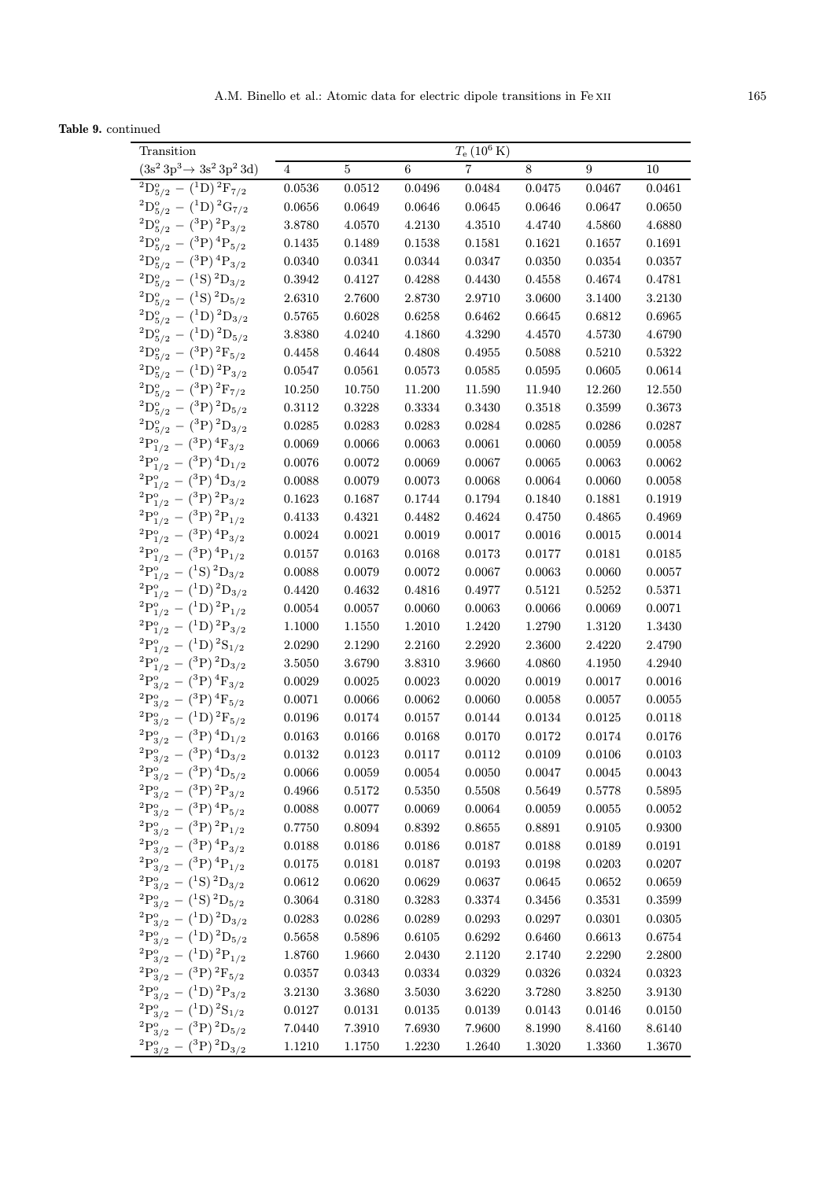Table 9. continued

| Transition                                                                                     |                                |                  |                  | $T_{\rm e}$ (10 <sup>6</sup> K) |                  |                  |                  |
|------------------------------------------------------------------------------------------------|--------------------------------|------------------|------------------|---------------------------------|------------------|------------------|------------------|
| $(3s^2\,3p^3 \rightarrow 3s^2\,3p^2\,3d)$                                                      | 4                              | 5                | 6                | 7                               | 8                | 9                | 10               |
| $^{2}D_{5/2}^{o} - {^{1}D})^{2}F_{7/2}$                                                        | 0.0536                         | 0.0512           | 0.0496           | 0.0484                          | 0.0475           | 0.0467           | 0.0461           |
| ${}^{2}D_{5/2}^{o} - ({}^{1}D) {}^{2}G_{7/2}$                                                  | 0.0656                         | 0.0649           | 0.0646           | 0.0645                          | 0.0646           | 0.0647           | 0.0650           |
| ${}^{2}D_{5/2}^{o} - ({}^{3}P){}^{2}P_{3/2}$                                                   | $3.8780\,$                     | 4.0570           | 4.2130           | 4.3510                          | 4.4740           | 4.5860           | 4.6880           |
| $^{2}D_{5/2}^{o} - {^{3}P})^{4}P_{5/2}$                                                        | 0.1435                         | 0.1489           | 0.1538           | 0.1581                          | 0.1621           | 0.1657           | 0.1691           |
| ${}^{2}D_{5/2}^{o} - ({}^{3}P){}^{4}P_{3/2}$                                                   | 0.0340                         | 0.0341           | 0.0344           | 0.0347                          | 0.0350           | 0.0354           | 0.0357           |
| ${}^{2}D_{5/2}^{o} - ({}^{1}S) {}^{2}D_{3/2}$                                                  | 0.3942                         | 0.4127           | 0.4288           | 0.4430                          | 0.4558           | 0.4674           | 0.4781           |
| ${}^{2}D_{5/2}^{o} - ({}^{1}S) {}^{2}D_{5/2}$                                                  | 2.6310                         | 2.7600           | 2.8730           | 2.9710                          | 3.0600           | 3.1400           | 3.2130           |
| ${}^{2}D_{5/2}^{o} - ({}^{1}D) {}^{2}D_{3/2}$                                                  | 0.5765                         | 0.6028           | 0.6258           | 0.6462                          | 0.6645           | 0.6812           | 0.6965           |
| $^{2}D_{5/2}^{o} - {^{1}D})^{2}D_{5/2}$                                                        | 3.8380                         | 4.0240           | 4.1860           | 4.3290                          | 4.4570           | 4.5730           | 4.6790           |
| ${}^{2}D_{5/2}^{o} - ({}^{3}P) {}^{2}F_{5/2}$                                                  | 0.4458                         | 0.4644           | 0.4808           | 0.4955                          | 0.5088           | 0.5210           | 0.5322           |
| ${}^{2}D_{5/2}^{o} - ({}^{1}D) {}^{2}P_{3/2}$                                                  | 0.0547                         | 0.0561           | 0.0573           | 0.0585                          | 0.0595           | 0.0605           | 0.0614           |
| $^{2}D_{5/2}^{o} - {^{3}P})^{2}F_{7/2}$                                                        | 10.250                         | 10.750           | 11.200           | 11.590                          | 11.940           | 12.260           | 12.550           |
| ${}^{2}D_{5/2}^{o} - ({}^{3}P){}^{2}D_{5/2}$                                                   | 0.3112                         | 0.3228           | 0.3334           | 0.3430                          | 0.3518           | 0.3599           | 0.3673           |
| ${}^{2}D_{5/2}^{o} - ({}^{3}P) {}^{2}D_{3/2}$                                                  | 0.0285                         | 0.0283           | 0.0283           | 0.0284                          | 0.0285           | 0.0286           | 0.0287           |
| ${}^{2}P^{o}_{1/2} - ({}^{3}P) \, {}^{4}F_{3/2}$                                               | 0.0069                         | 0.0066           | 0.0063           | 0.0061                          | 0.0060           | 0.0059           | 0.0058           |
| ${}^{2}P^{o}_{1/2} - ({}^{3}P) {}^{4}D_{1/2}$                                                  | 0.0076                         | 0.0072           | 0.0069           | 0.0067                          | 0.0065           | 0.0063           | 0.0062           |
| ${}^{2}P^{o}_{1/2} - ({}^{3}P) \, {}^{4}D_{3/2}$                                               | 0.0088                         | 0.0079           | 0.0073           | 0.0068                          | 0.0064           | 0.0060           | 0.0058           |
| ${}^{2}P^{o}_{1/2} - ({}^{3}P) {}^{2}P_{3/2}$                                                  | 0.1623                         | 0.1687           | 0.1744           | 0.1794                          | 0.1840           | 0.1881           | 0.1919           |
| ${}^{2}P^{o}_{1/2} - ({}^{3}P) {}^{2}P_{1/2}$                                                  | 0.4133                         | 0.4321           | 0.4482           | 0.4624                          | 0.4750           | 0.4865           | 0.4969           |
| ${}^{2}P^{o}_{1/2} - ({}^{3}P)^{4}P_{3/2}$                                                     | 0.0024                         | 0.0021           | 0.0019           | 0.0017                          | 0.0016           | 0.0015           | 0.0014           |
| ${}^{2}P^{o}_{1/2} - ({}^{3}P) \, {}^{4}P_{1/2}$                                               | 0.0157                         | 0.0163           | 0.0168           | 0.0173                          | 0.0177           | 0.0181           | 0.0185           |
| ${}^{2}P^{o}_{1/2} - ({}^{1}S) {}^{2}D_{3/2}$                                                  | 0.0088                         | 0.0079           | 0.0072           | 0.0067                          | 0.0063           | 0.0060           | 0.0057           |
| ${}^{2}P^{o}_{1/2} - ({}^{1}D) {}^{2}D_{3/2}$                                                  | 0.4420                         | 0.4632           | 0.4816           | 0.4977                          | 0.5121           | 0.5252           | 0.5371           |
| ${}^{2}P^{o}_{1/2} - ({}^{1}D) {}^{2}P_{1/2}$                                                  | 0.0054                         | 0.0057           | 0.0060           | 0.0063                          | 0.0066           | 0.0069           | 0.0071           |
| ${}^{2}P^{o}_{1/2} - ({}^{1}D) {}^{2}P_{3/2}$                                                  | 1.1000                         | 1.1550           | 1.2010           | 1.2420                          | 1.2790           | 1.3120           | 1.3430           |
| ${}^{2}P^{o}_{1/2} - ({}^{1}D) {}^{2}S_{1/2}$                                                  | 2.0290                         | 2.1290           | 2.2160           | 2.2920                          | 2.3600           | 2.4220           | 2.4790           |
| ${}^{2}P^{o}_{1/2} - ({}^{3}P) {}^{2}D_{3/2}$                                                  | 3.5050                         | 3.6790           | 3.8310           | 3.9660                          | 4.0860           | 4.1950           | 4.2940           |
| ${}^{2}P_{3/2}^{o} - ({}^{3}P) \, {}^{4}F_{3/2}$                                               | 0.0029                         | 0.0025           | 0.0023           | 0.0020                          | 0.0019           | 0.0017           | 0.0016           |
| ${}^{2}P_{3/2}^{o} - ({}^{3}P) \, {}^{4}F_{5/2}$                                               | 0.0071                         | $0.0066\,$       | 0.0062           | 0.0060                          | 0.0058           | 0.0057           | 0.0055           |
| ${}^{2}P^{o}_{3/2} - ({}^{1}D) {}^{2}F_{5/2}$                                                  | 0.0196                         |                  |                  |                                 |                  | 0.0125           | 0.0118           |
| ${}^{2}P^{o}_{3/2} - ({}^{3}P) \, {}^{4}D_{1/2}$                                               | 0.0163                         | 0.0174           | 0.0157           | 0.0144                          | 0.0134           |                  | 0.0176           |
| $^{2}P_{2}^{o}$                                                                                |                                | 0.0166           | 0.0168           | 0.0170                          | 0.0172           | 0.0174           |                  |
| $^{^{0}_{3/2}}-{^{(3}_{P})\,^{4}_{D_{3/2}}}$<br>$^{2}P_{\circ}^{\circ}$                        | $\hphantom{-}0.0132$<br>0.0066 | 0.0123<br>0.0059 | 0.0117<br>0.0054 | 0.0112<br>0.0050                | 0.0109<br>0.0047 | 0.0106<br>0.0045 | 0.0103<br>0.0043 |
| $^{10}_{3/2}$ – $(^3P)^4D_{5/2}$<br>${}^{2}P^{o}_{3/2} - ({}^{3}P) \, {}^{2}P_{3/2}$           |                                |                  |                  |                                 |                  |                  |                  |
|                                                                                                | 0.4966                         | 0.5172           | 0.5350<br>0.0069 | 0.5508                          | 0.5649           | 0.5778           | 0.5895           |
| ${}^2\mathrm{P}_{3/2}^\mathrm{o} \, - \, ({}^3\mathrm{P}) \, {}^4\mathrm{P}_{5/2}$             | 0.0088<br>0.7750               | 0.0077           |                  | 0.0064                          | 0.0059           | 0.0055           | 0.0052           |
| ${}^{2}P_{3/2}^{o} - ({}^{3}P) {}^{2}P_{1/2}$<br>${}^{2}P_{3/2}^{o} - ({}^{3}P) {}^{4}P_{3/2}$ |                                | 0.8094           | 0.8392           | 0.8655                          | 0.8891           | 0.9105           | 0.9300           |
|                                                                                                | 0.0188                         | 0.0186           | 0.0186           | 0.0187                          | 0.0188           | 0.0189           | 0.0191           |
| ${}^{2}P_{3/2}^{o} - ({}^{3}P) {}^{4}P_{1/2}$                                                  | 0.0175                         | 0.0181           | 0.0187           | 0.0193                          | 0.0198           | 0.0203           | 0.0207           |
| ${}^{2}P_{3/2}^{o} - ({}^{1}S) {}^{2}D_{3/2}$                                                  | 0.0612                         | $0.0620\,$       | $\,0.0629\,$     | 0.0637                          | 0.0645           | 0.0652           | 0.0659           |
| ${}^{2}P_{3/2}^{o} - ({}^{1}S) {}^{2}D_{5/2}$                                                  | 0.3064                         | 0.3180           | 0.3283           | 0.3374                          | 0.3456           | 0.3531           | 0.3599           |
| ${}^{2}P_{3/2}^{o} - ({}^{1}D) {}^{2}D_{3/2}$                                                  | 0.0283                         | 0.0286           | 0.0289           | 0.0293                          | 0.0297           | 0.0301           | 0.0305           |
| ${}^{2}P_{3/2}^{o} - ({}^{1}D) {}^{2}D_{5/2}$                                                  | 0.5658                         | 0.5896           | 0.6105           | 0.6292                          | 0.6460           | 0.6613           | 0.6754           |
| ${}^{2}P_{3/2}^{o} - ({}^{1}D) {}^{2}P_{1/2}$                                                  | 1.8760                         | 1.9660           | 2.0430           | 2.1120                          | 2.1740           | 2.2290           | 2.2800           |
| ${}^{2}P^{o}_{3/2} - ({}^{3}P){}^{2}F_{5/2}$                                                   | 0.0357                         | 0.0343           | 0.0334           | 0.0329                          | 0.0326           | 0.0324           | 0.0323           |
| ${}^{2}P^{o}_{3/2} - ({}^{1}D) {}^{2}P_{3/2}$                                                  | 3.2130                         | 3.3680           | 3.5030           | 3.6220                          | 3.7280           | 3.8250           | 3.9130           |
| ${}^{2}P^{o}_{3/2} - ({}^{1}D) {}^{2}S_{1/2}$                                                  | 0.0127                         | 0.0131           | 0.0135           | 0.0139                          | 0.0143           | 0.0146           | 0.0150           |
| ${}^{2}P_{3/2}^{o} - ({}^{3}P) {}^{2}D_{5/2}$                                                  | 7.0440                         | 7.3910           | 7.6930           | 7.9600                          | 8.1990           | 8.4160           | 8.6140           |
| ${}^{2}P^{o}_{3/2}$<br>$-$ ( <sup>3</sup> P) <sup>2</sup> D <sub>3/2</sub>                     | 1.1210                         | 1.1750           | 1.2230           | 1.2640                          | 1.3020           | 1.3360           | 1.3670           |